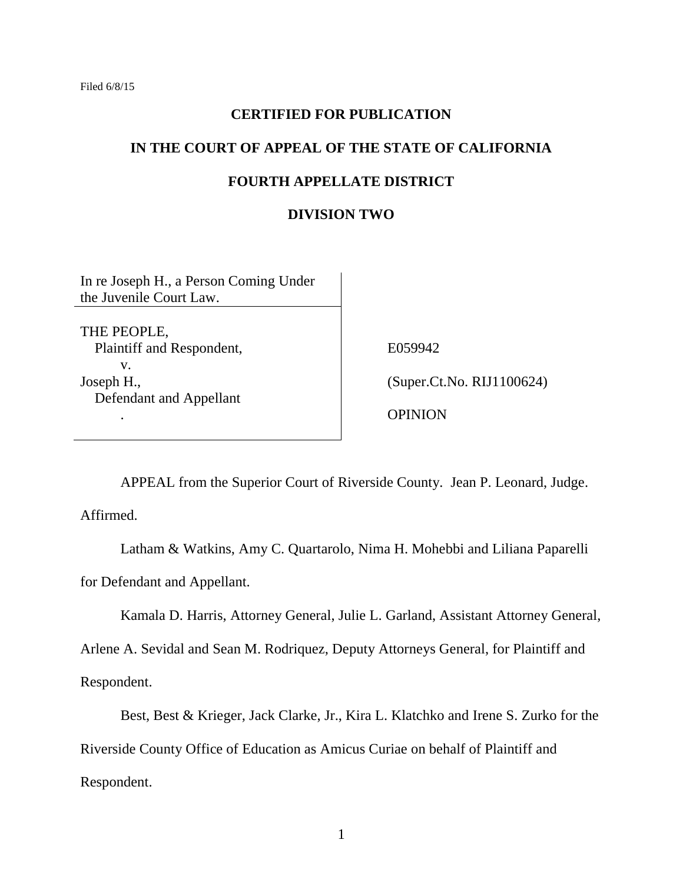### **CERTIFIED FOR PUBLICATION**

# **IN THE COURT OF APPEAL OF THE STATE OF CALIFORNIA**

### **FOURTH APPELLATE DISTRICT**

### **DIVISION TWO**

In re Joseph H., a Person Coming Under the Juvenile Court Law.

THE PEOPLE, Plaintiff and Respondent, v. Joseph H., Defendant and Appellant

E059942

(Super.Ct.No. RIJ1100624)

OPINION

APPEAL from the Superior Court of Riverside County. Jean P. Leonard, Judge.

Affirmed.

.

Latham & Watkins, Amy C. Quartarolo, Nima H. Mohebbi and Liliana Paparelli for Defendant and Appellant.

Kamala D. Harris, Attorney General, Julie L. Garland, Assistant Attorney General,

Arlene A. Sevidal and Sean M. Rodriquez, Deputy Attorneys General, for Plaintiff and Respondent.

Best, Best & Krieger, Jack Clarke, Jr., Kira L. Klatchko and Irene S. Zurko for the Riverside County Office of Education as Amicus Curiae on behalf of Plaintiff and Respondent.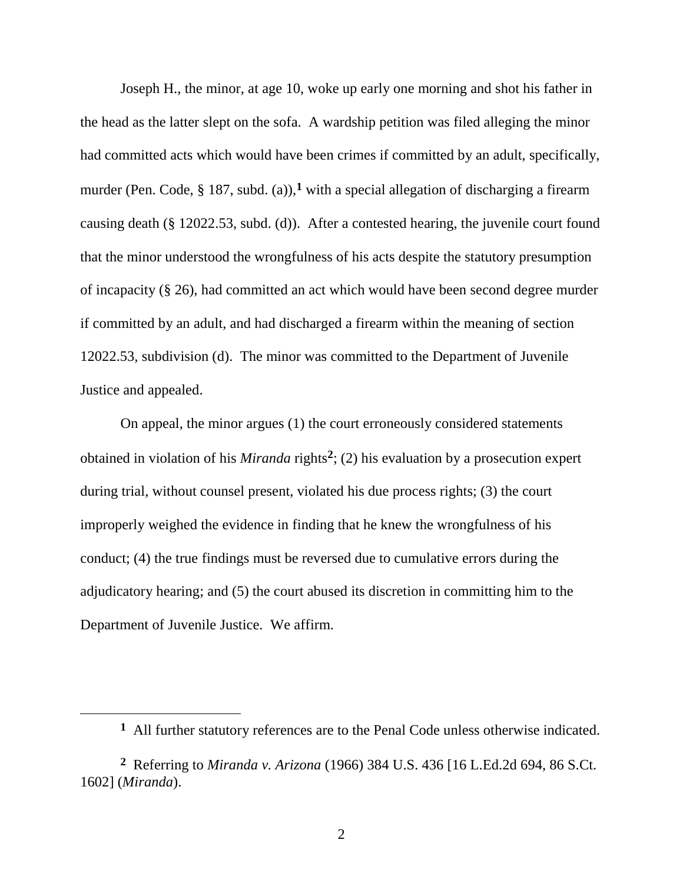Joseph H., the minor, at age 10, woke up early one morning and shot his father in the head as the latter slept on the sofa. A wardship petition was filed alleging the minor had committed acts which would have been crimes if committed by an adult, specifically, murder (Pen. Code, § 187, subd. (a)),**<sup>1</sup>** with a special allegation of discharging a firearm causing death (§ 12022.53, subd. (d)). After a contested hearing, the juvenile court found that the minor understood the wrongfulness of his acts despite the statutory presumption of incapacity (§ 26), had committed an act which would have been second degree murder if committed by an adult, and had discharged a firearm within the meaning of section 12022.53, subdivision (d). The minor was committed to the Department of Juvenile Justice and appealed.

On appeal, the minor argues (1) the court erroneously considered statements obtained in violation of his *Miranda* rights**<sup>2</sup>** ; (2) his evaluation by a prosecution expert during trial, without counsel present, violated his due process rights; (3) the court improperly weighed the evidence in finding that he knew the wrongfulness of his conduct; (4) the true findings must be reversed due to cumulative errors during the adjudicatory hearing; and (5) the court abused its discretion in committing him to the Department of Juvenile Justice. We affirm.

**<sup>1</sup>** All further statutory references are to the Penal Code unless otherwise indicated.

**<sup>2</sup>** Referring to *Miranda v. Arizona* (1966) 384 U.S. 436 [16 L.Ed.2d 694, 86 S.Ct. 1602] (*Miranda*).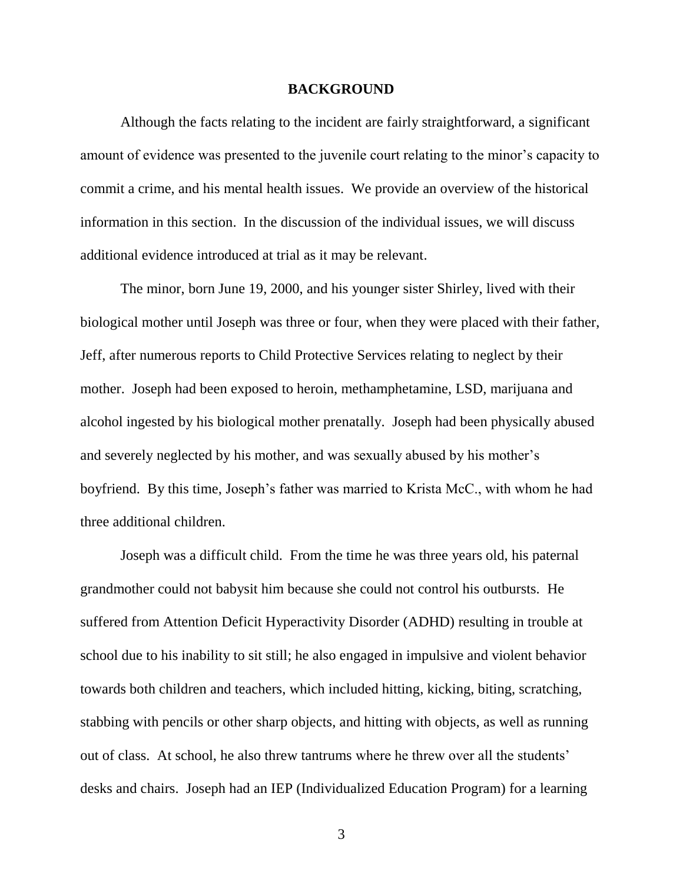### **BACKGROUND**

Although the facts relating to the incident are fairly straightforward, a significant amount of evidence was presented to the juvenile court relating to the minor's capacity to commit a crime, and his mental health issues. We provide an overview of the historical information in this section. In the discussion of the individual issues, we will discuss additional evidence introduced at trial as it may be relevant.

The minor, born June 19, 2000, and his younger sister Shirley, lived with their biological mother until Joseph was three or four, when they were placed with their father, Jeff, after numerous reports to Child Protective Services relating to neglect by their mother. Joseph had been exposed to heroin, methamphetamine, LSD, marijuana and alcohol ingested by his biological mother prenatally. Joseph had been physically abused and severely neglected by his mother, and was sexually abused by his mother's boyfriend. By this time, Joseph's father was married to Krista McC., with whom he had three additional children.

Joseph was a difficult child. From the time he was three years old, his paternal grandmother could not babysit him because she could not control his outbursts. He suffered from Attention Deficit Hyperactivity Disorder (ADHD) resulting in trouble at school due to his inability to sit still; he also engaged in impulsive and violent behavior towards both children and teachers, which included hitting, kicking, biting, scratching, stabbing with pencils or other sharp objects, and hitting with objects, as well as running out of class. At school, he also threw tantrums where he threw over all the students' desks and chairs. Joseph had an IEP (Individualized Education Program) for a learning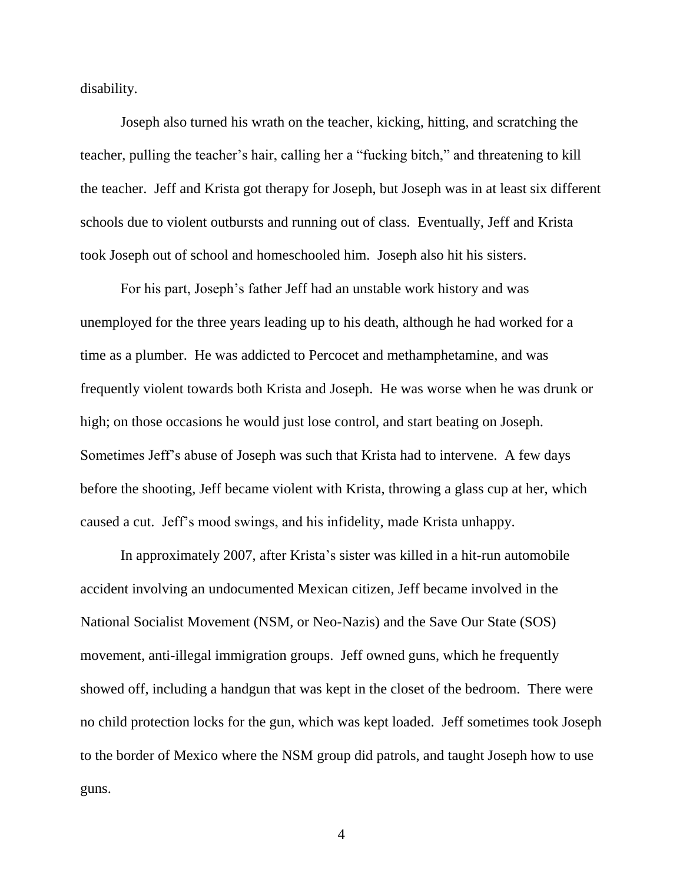disability.

Joseph also turned his wrath on the teacher, kicking, hitting, and scratching the teacher, pulling the teacher's hair, calling her a "fucking bitch," and threatening to kill the teacher. Jeff and Krista got therapy for Joseph, but Joseph was in at least six different schools due to violent outbursts and running out of class. Eventually, Jeff and Krista took Joseph out of school and homeschooled him. Joseph also hit his sisters.

For his part, Joseph's father Jeff had an unstable work history and was unemployed for the three years leading up to his death, although he had worked for a time as a plumber. He was addicted to Percocet and methamphetamine, and was frequently violent towards both Krista and Joseph. He was worse when he was drunk or high; on those occasions he would just lose control, and start beating on Joseph. Sometimes Jeff's abuse of Joseph was such that Krista had to intervene. A few days before the shooting, Jeff became violent with Krista, throwing a glass cup at her, which caused a cut. Jeff's mood swings, and his infidelity, made Krista unhappy.

In approximately 2007, after Krista's sister was killed in a hit-run automobile accident involving an undocumented Mexican citizen, Jeff became involved in the National Socialist Movement (NSM, or Neo-Nazis) and the Save Our State (SOS) movement, anti-illegal immigration groups. Jeff owned guns, which he frequently showed off, including a handgun that was kept in the closet of the bedroom. There were no child protection locks for the gun, which was kept loaded. Jeff sometimes took Joseph to the border of Mexico where the NSM group did patrols, and taught Joseph how to use guns.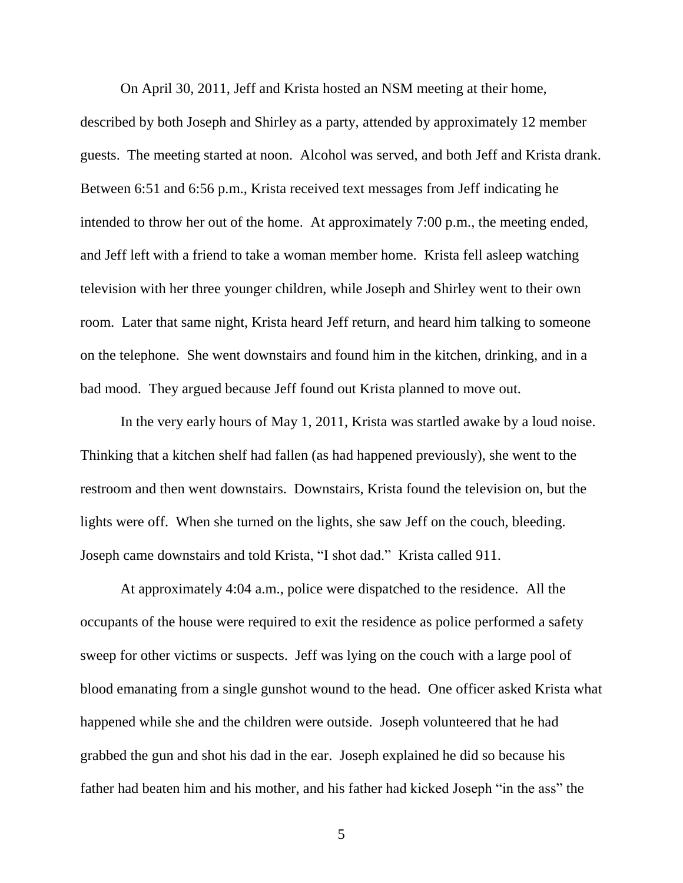On April 30, 2011, Jeff and Krista hosted an NSM meeting at their home, described by both Joseph and Shirley as a party, attended by approximately 12 member guests. The meeting started at noon. Alcohol was served, and both Jeff and Krista drank. Between 6:51 and 6:56 p.m., Krista received text messages from Jeff indicating he intended to throw her out of the home. At approximately 7:00 p.m., the meeting ended, and Jeff left with a friend to take a woman member home. Krista fell asleep watching television with her three younger children, while Joseph and Shirley went to their own room. Later that same night, Krista heard Jeff return, and heard him talking to someone on the telephone. She went downstairs and found him in the kitchen, drinking, and in a bad mood. They argued because Jeff found out Krista planned to move out.

In the very early hours of May 1, 2011, Krista was startled awake by a loud noise. Thinking that a kitchen shelf had fallen (as had happened previously), she went to the restroom and then went downstairs. Downstairs, Krista found the television on, but the lights were off. When she turned on the lights, she saw Jeff on the couch, bleeding. Joseph came downstairs and told Krista, "I shot dad." Krista called 911.

At approximately 4:04 a.m., police were dispatched to the residence. All the occupants of the house were required to exit the residence as police performed a safety sweep for other victims or suspects. Jeff was lying on the couch with a large pool of blood emanating from a single gunshot wound to the head. One officer asked Krista what happened while she and the children were outside. Joseph volunteered that he had grabbed the gun and shot his dad in the ear. Joseph explained he did so because his father had beaten him and his mother, and his father had kicked Joseph "in the ass" the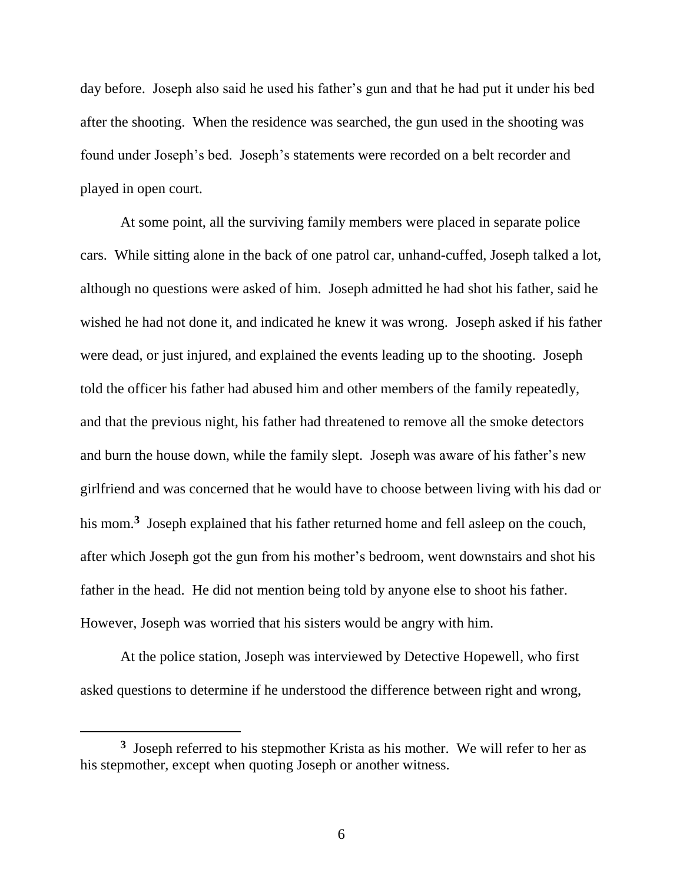day before. Joseph also said he used his father's gun and that he had put it under his bed after the shooting. When the residence was searched, the gun used in the shooting was found under Joseph's bed. Joseph's statements were recorded on a belt recorder and played in open court.

At some point, all the surviving family members were placed in separate police cars. While sitting alone in the back of one patrol car, unhand-cuffed, Joseph talked a lot, although no questions were asked of him. Joseph admitted he had shot his father, said he wished he had not done it, and indicated he knew it was wrong. Joseph asked if his father were dead, or just injured, and explained the events leading up to the shooting. Joseph told the officer his father had abused him and other members of the family repeatedly, and that the previous night, his father had threatened to remove all the smoke detectors and burn the house down, while the family slept. Joseph was aware of his father's new girlfriend and was concerned that he would have to choose between living with his dad or his mom.**<sup>3</sup>** Joseph explained that his father returned home and fell asleep on the couch, after which Joseph got the gun from his mother's bedroom, went downstairs and shot his father in the head. He did not mention being told by anyone else to shoot his father. However, Joseph was worried that his sisters would be angry with him.

At the police station, Joseph was interviewed by Detective Hopewell, who first asked questions to determine if he understood the difference between right and wrong,

**<sup>3</sup>** Joseph referred to his stepmother Krista as his mother. We will refer to her as his stepmother, except when quoting Joseph or another witness.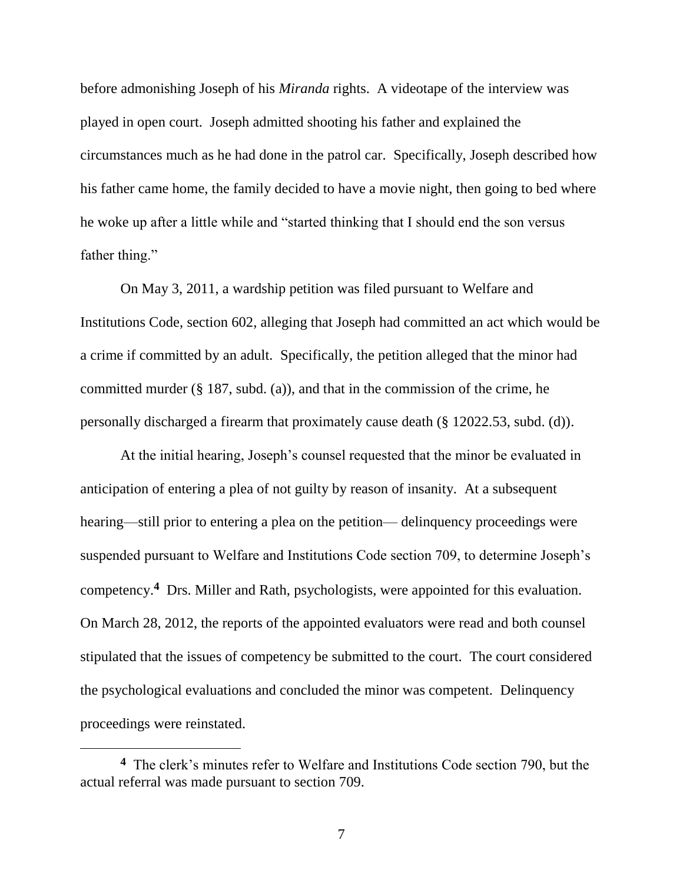before admonishing Joseph of his *Miranda* rights. A videotape of the interview was played in open court. Joseph admitted shooting his father and explained the circumstances much as he had done in the patrol car. Specifically, Joseph described how his father came home, the family decided to have a movie night, then going to bed where he woke up after a little while and "started thinking that I should end the son versus father thing."

On May 3, 2011, a wardship petition was filed pursuant to Welfare and Institutions Code, section 602, alleging that Joseph had committed an act which would be a crime if committed by an adult. Specifically, the petition alleged that the minor had committed murder (§ 187, subd. (a)), and that in the commission of the crime, he personally discharged a firearm that proximately cause death (§ 12022.53, subd. (d)).

At the initial hearing, Joseph's counsel requested that the minor be evaluated in anticipation of entering a plea of not guilty by reason of insanity. At a subsequent hearing—still prior to entering a plea on the petition— delinquency proceedings were suspended pursuant to Welfare and Institutions Code section 709, to determine Joseph's competency.**<sup>4</sup>** Drs. Miller and Rath, psychologists, were appointed for this evaluation. On March 28, 2012, the reports of the appointed evaluators were read and both counsel stipulated that the issues of competency be submitted to the court. The court considered the psychological evaluations and concluded the minor was competent. Delinquency proceedings were reinstated.

**<sup>4</sup>** The clerk's minutes refer to Welfare and Institutions Code section 790, but the actual referral was made pursuant to section 709.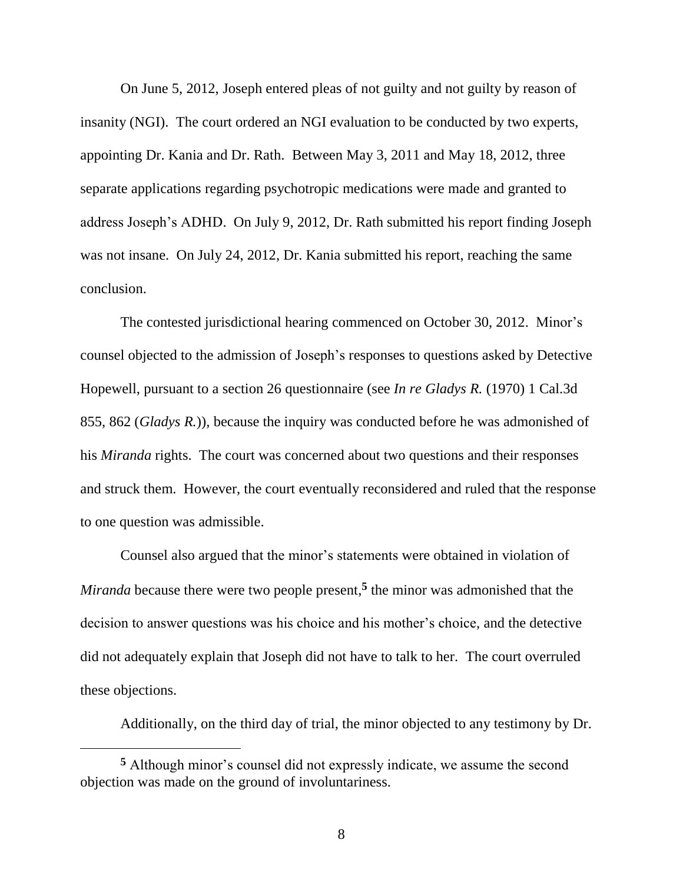On June 5, 2012, Joseph entered pleas of not guilty and not guilty by reason of insanity (NGI). The court ordered an NGI evaluation to be conducted by two experts, appointing Dr. Kania and Dr. Rath. Between May 3, 2011 and May 18, 2012, three separate applications regarding psychotropic medications were made and granted to address Joseph's ADHD. On July 9, 2012, Dr. Rath submitted his report finding Joseph was not insane. On July 24, 2012, Dr. Kania submitted his report, reaching the same conclusion.

The contested jurisdictional hearing commenced on October 30, 2012. Minor's counsel objected to the admission of Joseph's responses to questions asked by Detective Hopewell, pursuant to a section 26 questionnaire (see *In re Gladys R.* (1970) 1 Cal.3d 855, 862 (*Gladys R.*))*,* because the inquiry was conducted before he was admonished of his *Miranda* rights. The court was concerned about two questions and their responses and struck them. However, the court eventually reconsidered and ruled that the response to one question was admissible.

Counsel also argued that the minor's statements were obtained in violation of *Miranda* because there were two people present, **5** the minor was admonished that the decision to answer questions was his choice and his mother's choice, and the detective did not adequately explain that Joseph did not have to talk to her. The court overruled these objections.

Additionally, on the third day of trial, the minor objected to any testimony by Dr.

**<sup>5</sup>** Although minor's counsel did not expressly indicate, we assume the second objection was made on the ground of involuntariness.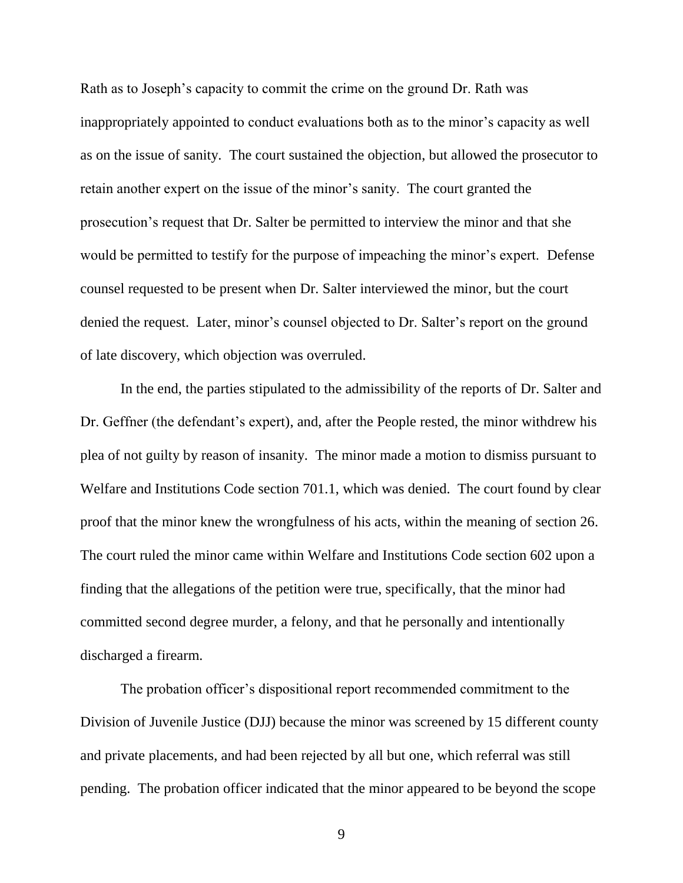Rath as to Joseph's capacity to commit the crime on the ground Dr. Rath was inappropriately appointed to conduct evaluations both as to the minor's capacity as well as on the issue of sanity. The court sustained the objection, but allowed the prosecutor to retain another expert on the issue of the minor's sanity. The court granted the prosecution's request that Dr. Salter be permitted to interview the minor and that she would be permitted to testify for the purpose of impeaching the minor's expert. Defense counsel requested to be present when Dr. Salter interviewed the minor, but the court denied the request. Later, minor's counsel objected to Dr. Salter's report on the ground of late discovery, which objection was overruled.

In the end, the parties stipulated to the admissibility of the reports of Dr. Salter and Dr. Geffner (the defendant's expert), and, after the People rested, the minor withdrew his plea of not guilty by reason of insanity. The minor made a motion to dismiss pursuant to Welfare and Institutions Code section 701.1, which was denied. The court found by clear proof that the minor knew the wrongfulness of his acts, within the meaning of section 26. The court ruled the minor came within Welfare and Institutions Code section 602 upon a finding that the allegations of the petition were true, specifically, that the minor had committed second degree murder, a felony, and that he personally and intentionally discharged a firearm.

The probation officer's dispositional report recommended commitment to the Division of Juvenile Justice (DJJ) because the minor was screened by 15 different county and private placements, and had been rejected by all but one, which referral was still pending. The probation officer indicated that the minor appeared to be beyond the scope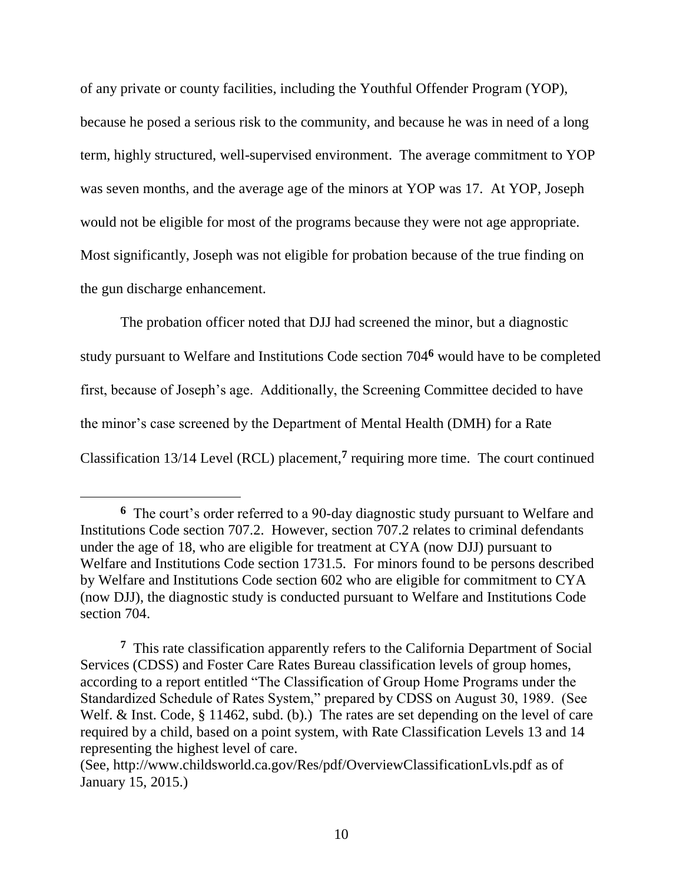of any private or county facilities, including the Youthful Offender Program (YOP), because he posed a serious risk to the community, and because he was in need of a long term, highly structured, well-supervised environment. The average commitment to YOP was seven months, and the average age of the minors at YOP was 17. At YOP, Joseph would not be eligible for most of the programs because they were not age appropriate. Most significantly, Joseph was not eligible for probation because of the true finding on the gun discharge enhancement.

The probation officer noted that DJJ had screened the minor, but a diagnostic study pursuant to Welfare and Institutions Code section 704 **<sup>6</sup>** would have to be completed first, because of Joseph's age. Additionally, the Screening Committee decided to have the minor's case screened by the Department of Mental Health (DMH) for a Rate Classification 13/14 Level (RCL) placement,**<sup>7</sup>** requiring more time. The court continued

**<sup>6</sup>** The court's order referred to a 90-day diagnostic study pursuant to Welfare and Institutions Code section 707.2. However, section 707.2 relates to criminal defendants under the age of 18, who are eligible for treatment at CYA (now DJJ) pursuant to Welfare and Institutions Code section 1731.5. For minors found to be persons described by Welfare and Institutions Code section 602 who are eligible for commitment to CYA (now DJJ), the diagnostic study is conducted pursuant to Welfare and Institutions Code section 704.

**<sup>7</sup>** This rate classification apparently refers to the California Department of Social Services (CDSS) and Foster Care Rates Bureau classification levels of group homes, according to a report entitled "The Classification of Group Home Programs under the Standardized Schedule of Rates System," prepared by CDSS on August 30, 1989. (See Welf. & Inst. Code, § 11462, subd. (b).) The rates are set depending on the level of care required by a child, based on a point system, with Rate Classification Levels 13 and 14 representing the highest level of care.

<sup>(</sup>See, http://www.childsworld.ca.gov/Res/pdf/OverviewClassificationLvls.pdf as of January 15, 2015.)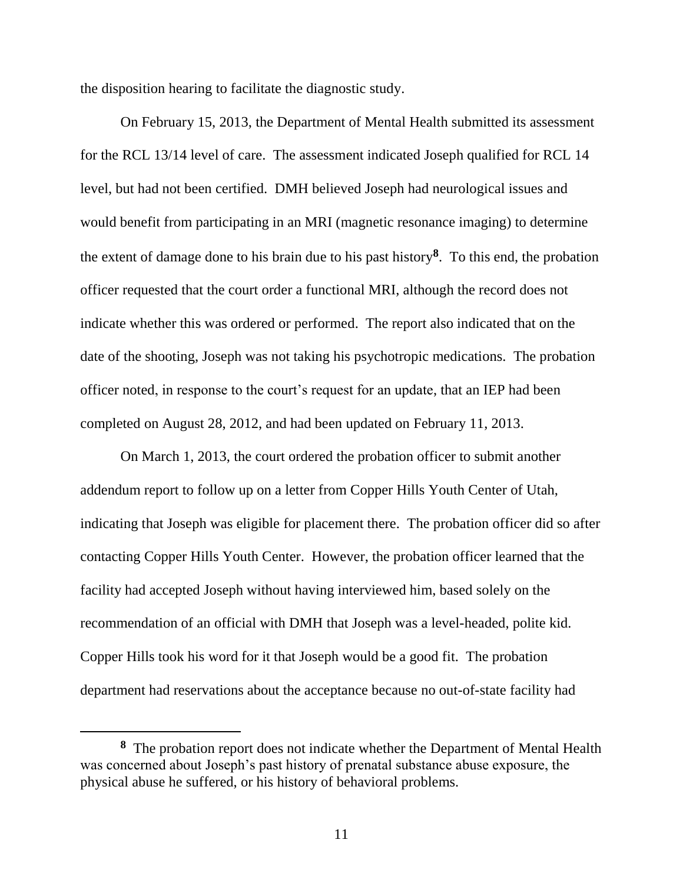the disposition hearing to facilitate the diagnostic study.

On February 15, 2013, the Department of Mental Health submitted its assessment for the RCL 13/14 level of care. The assessment indicated Joseph qualified for RCL 14 level, but had not been certified. DMH believed Joseph had neurological issues and would benefit from participating in an MRI (magnetic resonance imaging) to determine the extent of damage done to his brain due to his past history**<sup>8</sup>** . To this end, the probation officer requested that the court order a functional MRI, although the record does not indicate whether this was ordered or performed. The report also indicated that on the date of the shooting, Joseph was not taking his psychotropic medications. The probation officer noted, in response to the court's request for an update, that an IEP had been completed on August 28, 2012, and had been updated on February 11, 2013.

On March 1, 2013, the court ordered the probation officer to submit another addendum report to follow up on a letter from Copper Hills Youth Center of Utah, indicating that Joseph was eligible for placement there. The probation officer did so after contacting Copper Hills Youth Center. However, the probation officer learned that the facility had accepted Joseph without having interviewed him, based solely on the recommendation of an official with DMH that Joseph was a level-headed, polite kid. Copper Hills took his word for it that Joseph would be a good fit. The probation department had reservations about the acceptance because no out-of-state facility had

**<sup>8</sup>** The probation report does not indicate whether the Department of Mental Health was concerned about Joseph's past history of prenatal substance abuse exposure, the physical abuse he suffered, or his history of behavioral problems.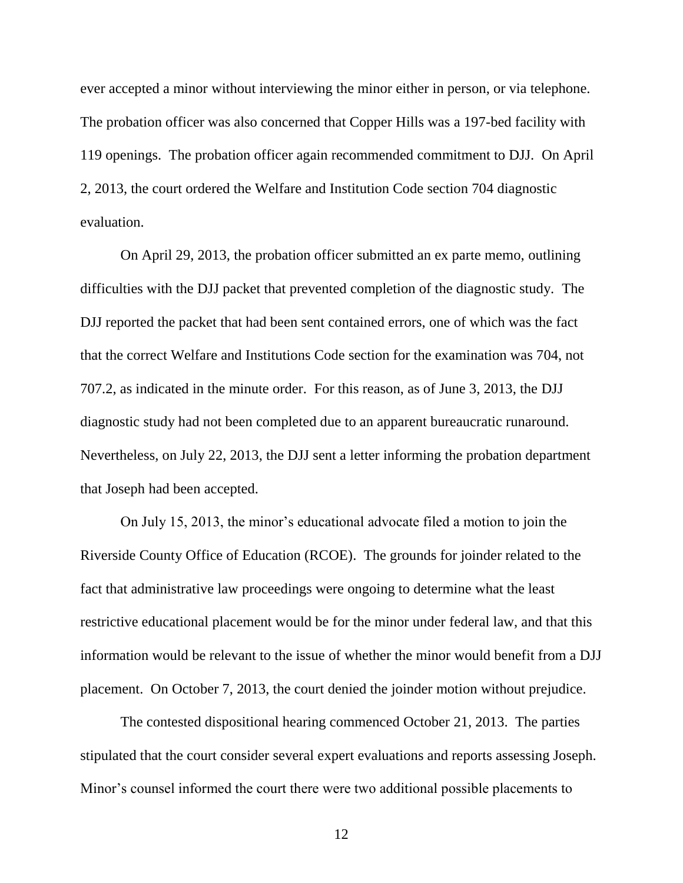ever accepted a minor without interviewing the minor either in person, or via telephone. The probation officer was also concerned that Copper Hills was a 197-bed facility with 119 openings. The probation officer again recommended commitment to DJJ. On April 2, 2013, the court ordered the Welfare and Institution Code section 704 diagnostic evaluation.

On April 29, 2013, the probation officer submitted an ex parte memo, outlining difficulties with the DJJ packet that prevented completion of the diagnostic study. The DJJ reported the packet that had been sent contained errors, one of which was the fact that the correct Welfare and Institutions Code section for the examination was 704, not 707.2, as indicated in the minute order. For this reason, as of June 3, 2013, the DJJ diagnostic study had not been completed due to an apparent bureaucratic runaround. Nevertheless, on July 22, 2013, the DJJ sent a letter informing the probation department that Joseph had been accepted.

On July 15, 2013, the minor's educational advocate filed a motion to join the Riverside County Office of Education (RCOE). The grounds for joinder related to the fact that administrative law proceedings were ongoing to determine what the least restrictive educational placement would be for the minor under federal law, and that this information would be relevant to the issue of whether the minor would benefit from a DJJ placement. On October 7, 2013, the court denied the joinder motion without prejudice.

The contested dispositional hearing commenced October 21, 2013. The parties stipulated that the court consider several expert evaluations and reports assessing Joseph. Minor's counsel informed the court there were two additional possible placements to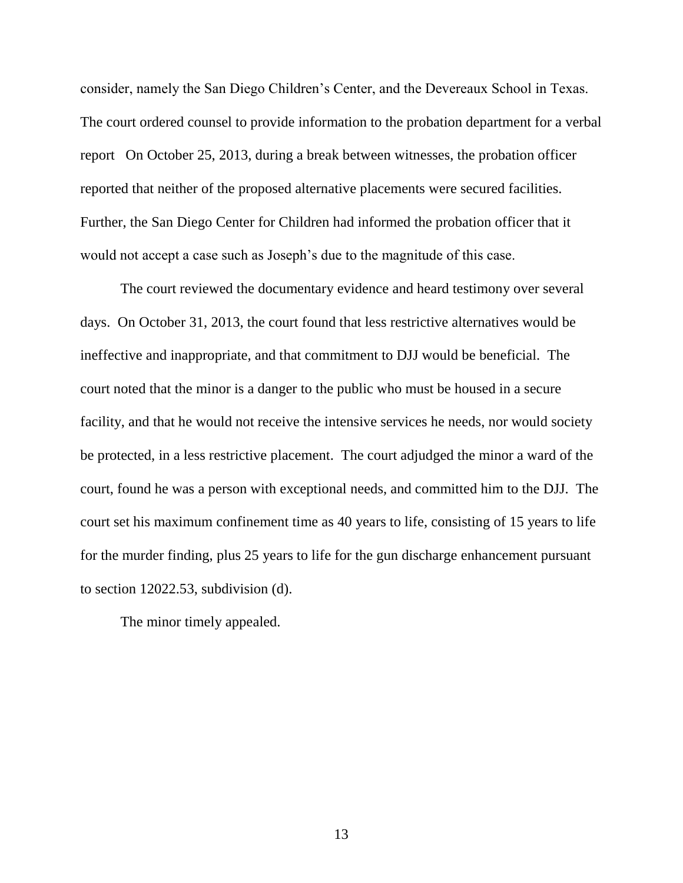consider, namely the San Diego Children's Center, and the Devereaux School in Texas. The court ordered counsel to provide information to the probation department for a verbal report On October 25, 2013, during a break between witnesses, the probation officer reported that neither of the proposed alternative placements were secured facilities. Further, the San Diego Center for Children had informed the probation officer that it would not accept a case such as Joseph's due to the magnitude of this case.

The court reviewed the documentary evidence and heard testimony over several days. On October 31, 2013, the court found that less restrictive alternatives would be ineffective and inappropriate, and that commitment to DJJ would be beneficial. The court noted that the minor is a danger to the public who must be housed in a secure facility, and that he would not receive the intensive services he needs, nor would society be protected, in a less restrictive placement. The court adjudged the minor a ward of the court, found he was a person with exceptional needs, and committed him to the DJJ. The court set his maximum confinement time as 40 years to life, consisting of 15 years to life for the murder finding, plus 25 years to life for the gun discharge enhancement pursuant to section 12022.53, subdivision (d).

The minor timely appealed.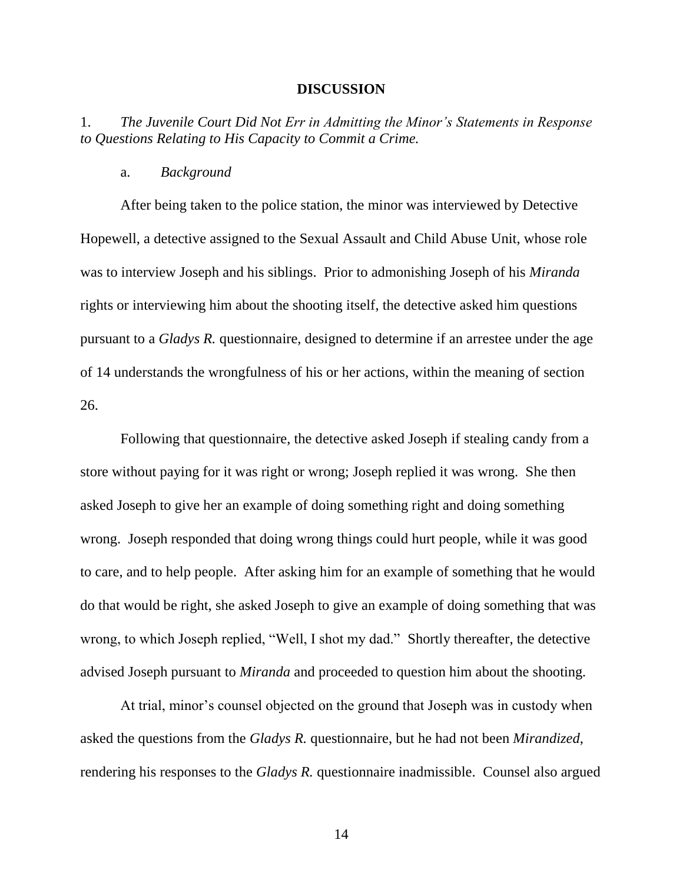#### **DISCUSSION**

1. *The Juvenile Court Did Not Err in Admitting the Minor's Statements in Response to Questions Relating to His Capacity to Commit a Crime.*

### a. *Background*

After being taken to the police station, the minor was interviewed by Detective Hopewell, a detective assigned to the Sexual Assault and Child Abuse Unit, whose role was to interview Joseph and his siblings. Prior to admonishing Joseph of his *Miranda* rights or interviewing him about the shooting itself, the detective asked him questions pursuant to a *Gladys R.* questionnaire, designed to determine if an arrestee under the age of 14 understands the wrongfulness of his or her actions, within the meaning of section 26.

Following that questionnaire, the detective asked Joseph if stealing candy from a store without paying for it was right or wrong; Joseph replied it was wrong. She then asked Joseph to give her an example of doing something right and doing something wrong. Joseph responded that doing wrong things could hurt people, while it was good to care, and to help people. After asking him for an example of something that he would do that would be right, she asked Joseph to give an example of doing something that was wrong, to which Joseph replied, "Well, I shot my dad." Shortly thereafter, the detective advised Joseph pursuant to *Miranda* and proceeded to question him about the shooting*.*

At trial, minor's counsel objected on the ground that Joseph was in custody when asked the questions from the *Gladys R.* questionnaire, but he had not been *Mirandized*, rendering his responses to the *Gladys R.* questionnaire inadmissible. Counsel also argued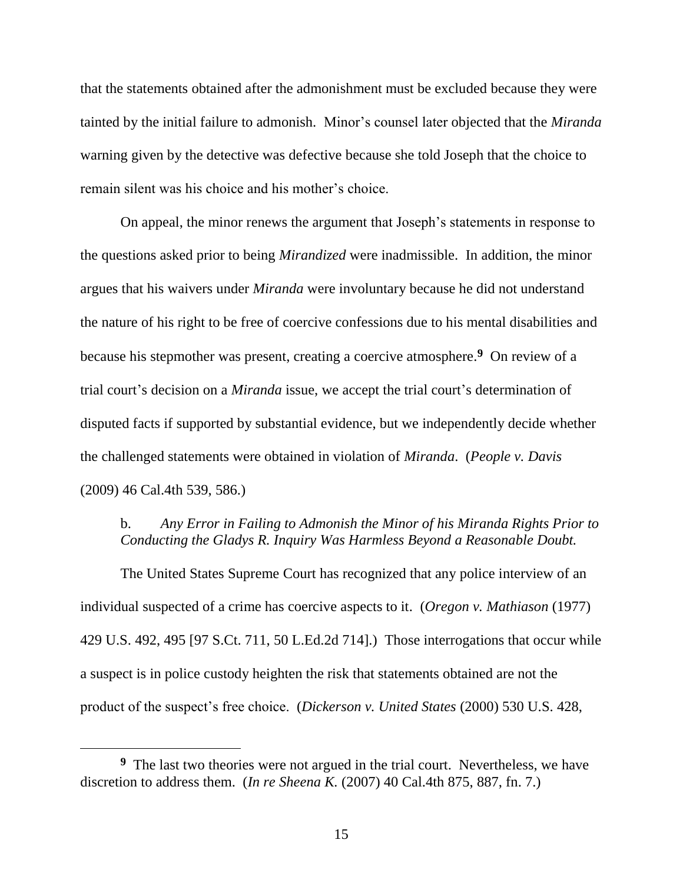that the statements obtained after the admonishment must be excluded because they were tainted by the initial failure to admonish. Minor's counsel later objected that the *Miranda*  warning given by the detective was defective because she told Joseph that the choice to remain silent was his choice and his mother's choice.

On appeal, the minor renews the argument that Joseph's statements in response to the questions asked prior to being *Mirandized* were inadmissible. In addition, the minor argues that his waivers under *Miranda* were involuntary because he did not understand the nature of his right to be free of coercive confessions due to his mental disabilities and because his stepmother was present, creating a coercive atmosphere.**<sup>9</sup>** On review of a trial court's decision on a *Miranda* issue, we accept the trial court's determination of disputed facts if supported by substantial evidence, but we independently decide whether the challenged statements were obtained in violation of *Miranda*. (*People v. Davis* (2009) 46 Cal.4th 539, 586.)

### b. *Any Error in Failing to Admonish the Minor of his Miranda Rights Prior to Conducting the Gladys R. Inquiry Was Harmless Beyond a Reasonable Doubt.*

The United States Supreme Court has recognized that any police interview of an individual suspected of a crime has coercive aspects to it. (*Oregon v. Mathiason* (1977) 429 U.S. 492, 495 [97 S.Ct. 711, 50 L.Ed.2d 714].) Those interrogations that occur while a suspect is in police custody heighten the risk that statements obtained are not the product of the suspect's free choice. (*Dickerson v. United States* (2000) 530 U.S. 428,

<sup>&</sup>lt;sup>9</sup> The last two theories were not argued in the trial court. Nevertheless, we have discretion to address them. (*In re Sheena K.* (2007) 40 Cal.4th 875, 887, fn. 7.)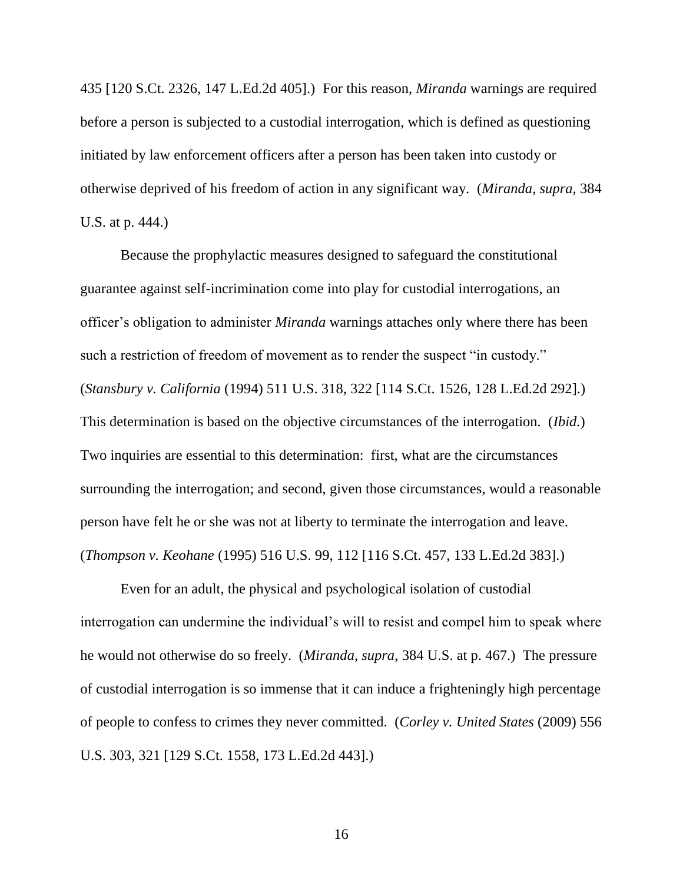435 [120 S.Ct. 2326, 147 L.Ed.2d 405].) For this reason, *Miranda* warnings are required before a person is subjected to a custodial interrogation, which is defined as questioning initiated by law enforcement officers after a person has been taken into custody or otherwise deprived of his freedom of action in any significant way. (*Miranda, supra,* 384 U.S. at p. 444.)

Because the prophylactic measures designed to safeguard the constitutional guarantee against self-incrimination come into play for custodial interrogations, an officer's obligation to administer *Miranda* warnings attaches only where there has been such a restriction of freedom of movement as to render the suspect "in custody." (*Stansbury v. California* (1994) 511 U.S. 318, 322 [114 S.Ct. 1526, 128 L.Ed.2d 292].) This determination is based on the objective circumstances of the interrogation. (*Ibid.*) Two inquiries are essential to this determination: first, what are the circumstances surrounding the interrogation; and second, given those circumstances, would a reasonable person have felt he or she was not at liberty to terminate the interrogation and leave. (*Thompson v. Keohane* (1995) 516 U.S. 99, 112 [116 S.Ct. 457, 133 L.Ed.2d 383].)

Even for an adult, the physical and psychological isolation of custodial interrogation can undermine the individual's will to resist and compel him to speak where he would not otherwise do so freely. (*Miranda, supra,* 384 U.S. at p. 467.) The pressure of custodial interrogation is so immense that it can induce a frighteningly high percentage of people to confess to crimes they never committed. (*Corley v. United States* (2009) 556 U.S. 303, 321 [129 S.Ct. 1558, 173 L.Ed.2d 443].)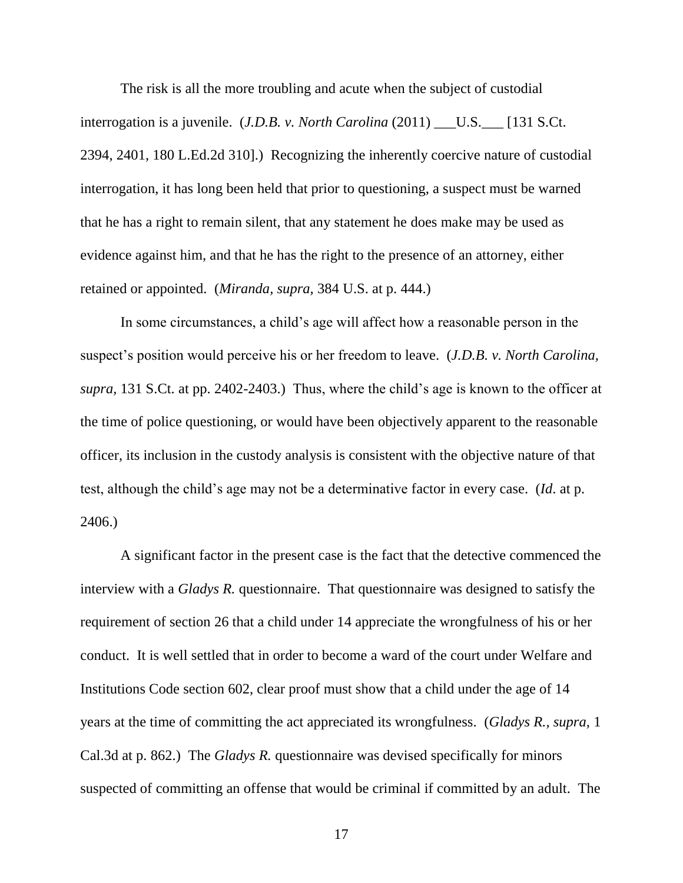The risk is all the more troubling and acute when the subject of custodial interrogation is a juvenile. (*J.D.B. v. North Carolina* (2011) \_\_\_U.S.\_\_\_ [131 S.Ct. 2394, 2401, 180 L.Ed.2d 310].) Recognizing the inherently coercive nature of custodial interrogation, it has long been held that prior to questioning, a suspect must be warned that he has a right to remain silent, that any statement he does make may be used as evidence against him, and that he has the right to the presence of an attorney, either retained or appointed. (*Miranda, supra,* 384 U.S. at p. 444.)

In some circumstances, a child's age will affect how a reasonable person in the suspect's position would perceive his or her freedom to leave. (*J.D.B. v. North Carolina, supra,* 131 S.Ct. at pp. 2402-2403.) Thus, where the child's age is known to the officer at the time of police questioning, or would have been objectively apparent to the reasonable officer, its inclusion in the custody analysis is consistent with the objective nature of that test, although the child's age may not be a determinative factor in every case. (*Id*. at p. 2406.)

A significant factor in the present case is the fact that the detective commenced the interview with a *Gladys R*. questionnaire. That questionnaire was designed to satisfy the requirement of section 26 that a child under 14 appreciate the wrongfulness of his or her conduct. It is well settled that in order to become a ward of the court under Welfare and Institutions Code section 602, clear proof must show that a child under the age of 14 years at the time of committing the act appreciated its wrongfulness. (*Gladys R., supra,* 1 Cal.3d at p. 862.) The *Gladys R.* questionnaire was devised specifically for minors suspected of committing an offense that would be criminal if committed by an adult. The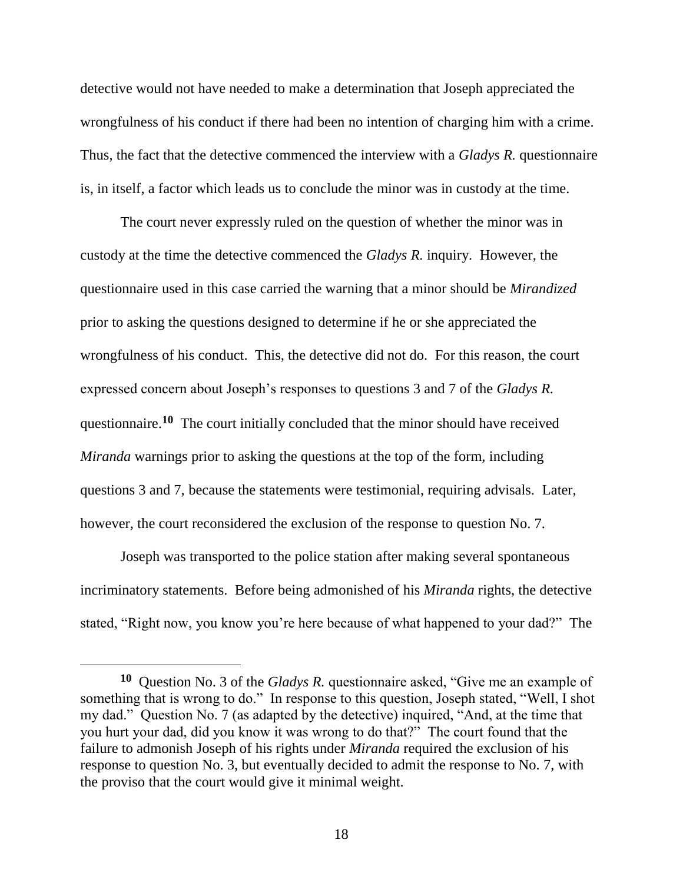detective would not have needed to make a determination that Joseph appreciated the wrongfulness of his conduct if there had been no intention of charging him with a crime. Thus, the fact that the detective commenced the interview with a *Gladys R.* questionnaire is, in itself, a factor which leads us to conclude the minor was in custody at the time.

The court never expressly ruled on the question of whether the minor was in custody at the time the detective commenced the *Gladys R.* inquiry. However, the questionnaire used in this case carried the warning that a minor should be *Mirandized* prior to asking the questions designed to determine if he or she appreciated the wrongfulness of his conduct. This, the detective did not do. For this reason, the court expressed concern about Joseph's responses to questions 3 and 7 of the *Gladys R.* questionnaire.**<sup>10</sup>** The court initially concluded that the minor should have received *Miranda* warnings prior to asking the questions at the top of the form, including questions 3 and 7, because the statements were testimonial, requiring advisals. Later, however, the court reconsidered the exclusion of the response to question No. 7.

Joseph was transported to the police station after making several spontaneous incriminatory statements. Before being admonished of his *Miranda* rights, the detective stated, "Right now, you know you're here because of what happened to your dad?" The

**<sup>10</sup>** Question No. 3 of the *Gladys R.* questionnaire asked, "Give me an example of something that is wrong to do." In response to this question, Joseph stated, "Well, I shot my dad." Question No. 7 (as adapted by the detective) inquired, "And, at the time that you hurt your dad, did you know it was wrong to do that?" The court found that the failure to admonish Joseph of his rights under *Miranda* required the exclusion of his response to question No. 3, but eventually decided to admit the response to No. 7, with the proviso that the court would give it minimal weight.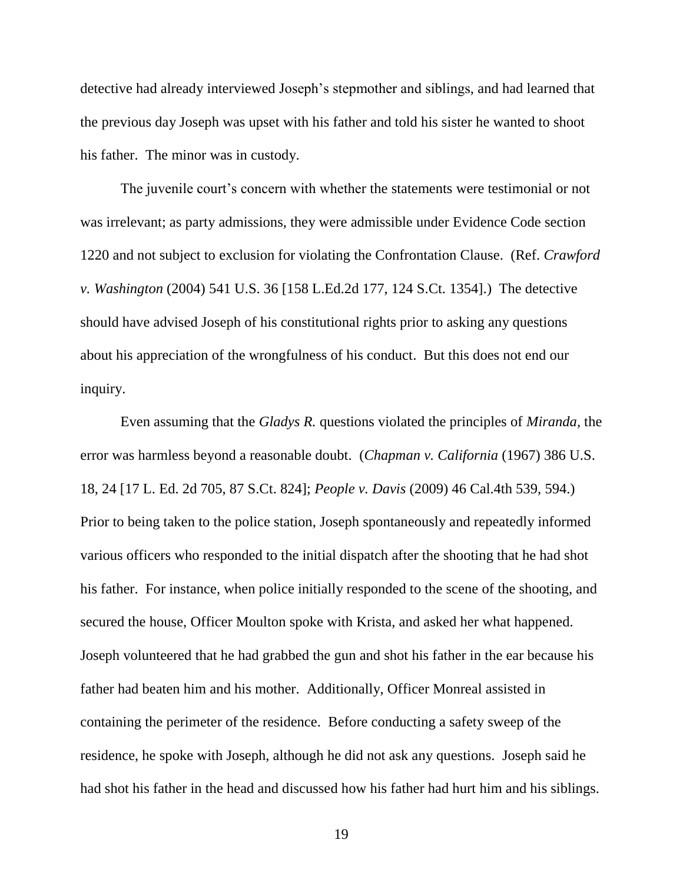detective had already interviewed Joseph's stepmother and siblings, and had learned that the previous day Joseph was upset with his father and told his sister he wanted to shoot his father. The minor was in custody.

The juvenile court's concern with whether the statements were testimonial or not was irrelevant; as party admissions, they were admissible under Evidence Code section 1220 and not subject to exclusion for violating the Confrontation Clause. (Ref. *Crawford v. Washington* (2004) 541 U.S. 36 [158 L.Ed.2d 177, 124 S.Ct. 1354].) The detective should have advised Joseph of his constitutional rights prior to asking any questions about his appreciation of the wrongfulness of his conduct. But this does not end our inquiry.

Even assuming that the *Gladys R.* questions violated the principles of *Miranda,* the error was harmless beyond a reasonable doubt. (*Chapman v. California* (1967) 386 U.S. 18, 24 [17 L. Ed. 2d 705, 87 S.Ct. 824]; *People v. Davis* (2009) 46 Cal.4th 539, 594.) Prior to being taken to the police station, Joseph spontaneously and repeatedly informed various officers who responded to the initial dispatch after the shooting that he had shot his father. For instance, when police initially responded to the scene of the shooting, and secured the house, Officer Moulton spoke with Krista, and asked her what happened. Joseph volunteered that he had grabbed the gun and shot his father in the ear because his father had beaten him and his mother. Additionally, Officer Monreal assisted in containing the perimeter of the residence. Before conducting a safety sweep of the residence, he spoke with Joseph, although he did not ask any questions. Joseph said he had shot his father in the head and discussed how his father had hurt him and his siblings.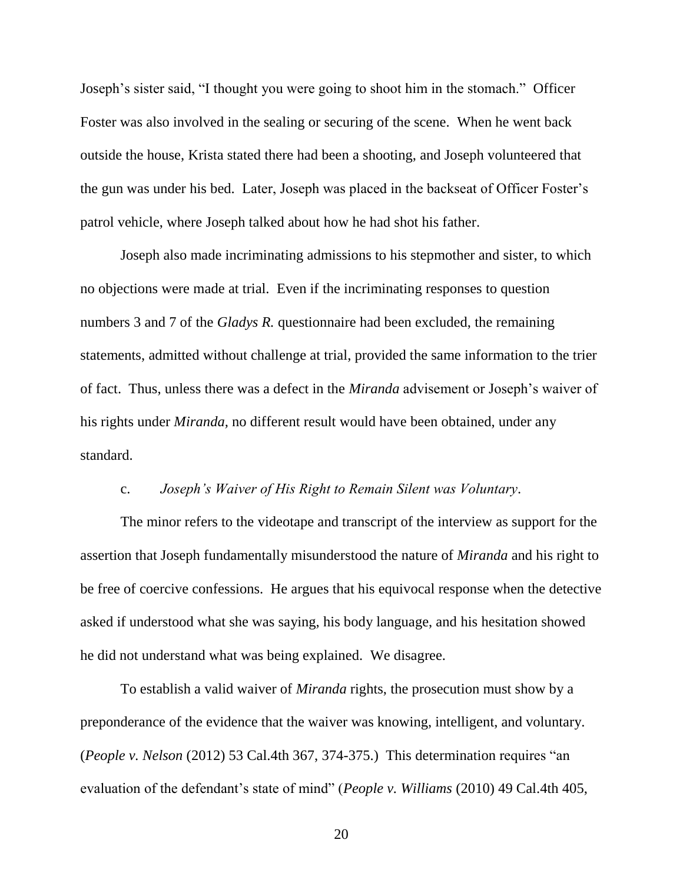Joseph's sister said, "I thought you were going to shoot him in the stomach." Officer Foster was also involved in the sealing or securing of the scene. When he went back outside the house, Krista stated there had been a shooting, and Joseph volunteered that the gun was under his bed. Later, Joseph was placed in the backseat of Officer Foster's patrol vehicle, where Joseph talked about how he had shot his father.

Joseph also made incriminating admissions to his stepmother and sister, to which no objections were made at trial. Even if the incriminating responses to question numbers 3 and 7 of the *Gladys R.* questionnaire had been excluded, the remaining statements, admitted without challenge at trial, provided the same information to the trier of fact. Thus, unless there was a defect in the *Miranda* advisement or Joseph's waiver of his rights under *Miranda,* no different result would have been obtained, under any standard.

#### c. *Joseph's Waiver of His Right to Remain Silent was Voluntary*.

The minor refers to the videotape and transcript of the interview as support for the assertion that Joseph fundamentally misunderstood the nature of *Miranda* and his right to be free of coercive confessions. He argues that his equivocal response when the detective asked if understood what she was saying, his body language, and his hesitation showed he did not understand what was being explained. We disagree.

To establish a valid waiver of *Miranda* rights, the prosecution must show by a preponderance of the evidence that the waiver was knowing, intelligent, and voluntary. (*People v. Nelson* (2012) 53 Cal.4th 367, 374-375.) This determination requires "an evaluation of the defendant's state of mind" (*People v. Williams* (2010) 49 Cal.4th 405,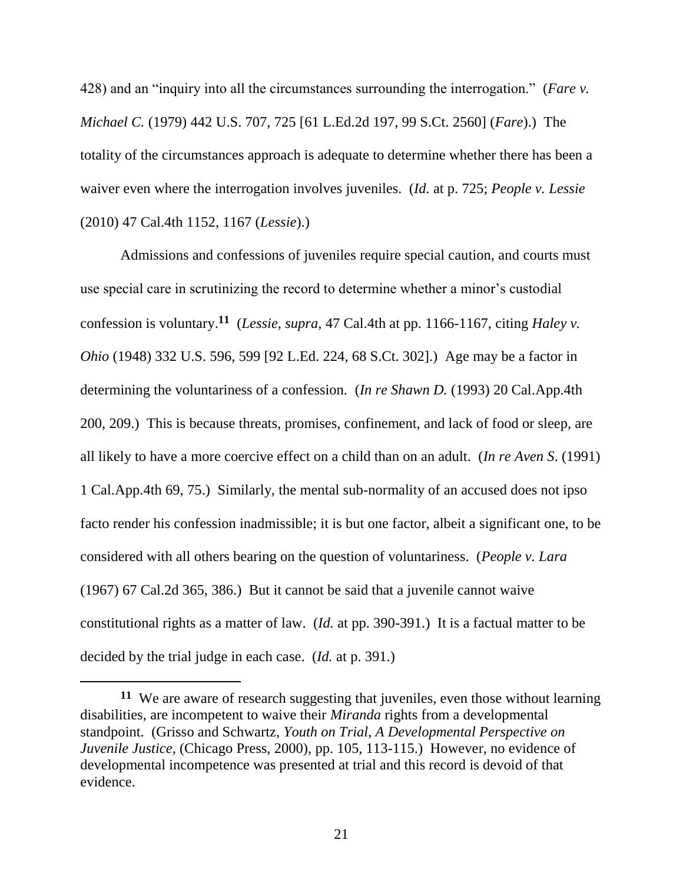428) and an "inquiry into all the circumstances surrounding the interrogation." (*Fare v. Michael C.* (1979) 442 U.S. 707, 725 [61 L.Ed.2d 197, 99 S.Ct. 2560] (*Fare*).) The totality of the circumstances approach is adequate to determine whether there has been a waiver even where the interrogation involves juveniles. (*Id.* at p. 725; *People v. Lessie*  (2010) 47 Cal.4th 1152, 1167 (*Lessie*).)

Admissions and confessions of juveniles require special caution, and courts must use special care in scrutinizing the record to determine whether a minor's custodial confession is voluntary.**<sup>11</sup>** (*Lessie, supra,* 47 Cal.4th at pp. 1166-1167, citing *Haley v. Ohio* (1948) 332 U.S. 596, 599 [92 L.Ed. 224, 68 S.Ct. 302].) Age may be a factor in determining the voluntariness of a confession. (*In re Shawn D.* (1993) 20 Cal.App.4th 200, 209.) This is because threats, promises, confinement, and lack of food or sleep, are all likely to have a more coercive effect on a child than on an adult. (*In re Aven S*. (1991) 1 Cal.App.4th 69, 75.) Similarly, the mental sub-normality of an accused does not ipso facto render his confession inadmissible; it is but one factor, albeit a significant one, to be considered with all others bearing on the question of voluntariness. (*People v. Lara*  (1967) 67 Cal.2d 365, 386.) But it cannot be said that a juvenile cannot waive constitutional rights as a matter of law. (*Id.* at pp. 390-391.) It is a factual matter to be decided by the trial judge in each case. (*Id.* at p. 391.)

**<sup>11</sup>** We are aware of research suggesting that juveniles, even those without learning disabilities, are incompetent to waive their *Miranda* rights from a developmental standpoint. (Grisso and Schwartz, *Youth on Trial*, *A Developmental Perspective on Juvenile Justice,* (Chicago Press, 2000), pp. 105, 113-115.) However, no evidence of developmental incompetence was presented at trial and this record is devoid of that evidence.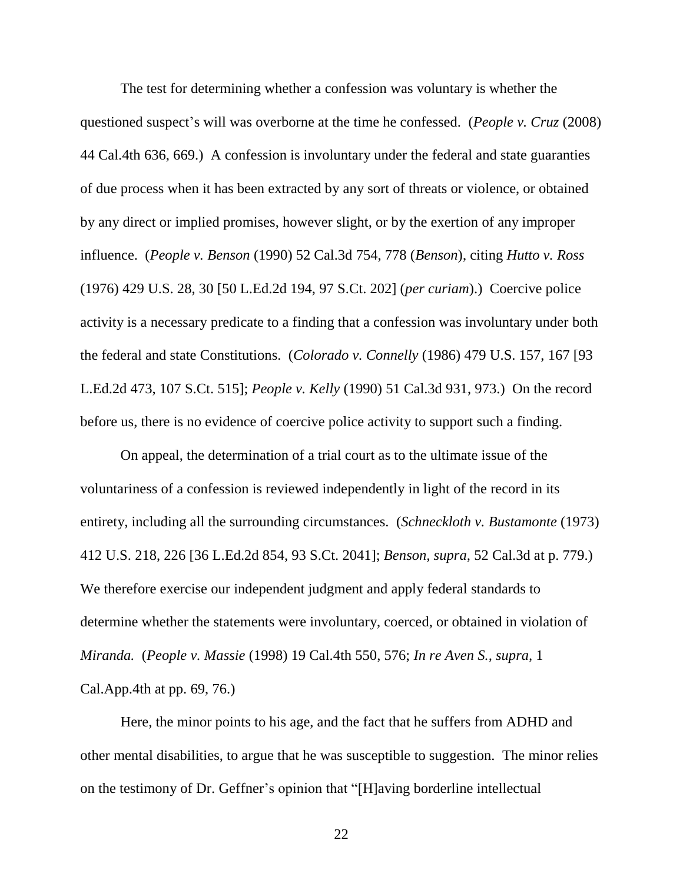The test for determining whether a confession was voluntary is whether the questioned suspect's will was overborne at the time he confessed. (*People v. Cruz* (2008) 44 Cal.4th 636, 669.) A confession is involuntary under the federal and state guaranties of due process when it has been extracted by any sort of threats or violence, or obtained by any direct or implied promises, however slight, or by the exertion of any improper influence. (*People v. Benson* (1990) 52 Cal.3d 754, 778 (*Benson*), citing *Hutto v. Ross*  (1976) 429 U.S. 28, 30 [50 L.Ed.2d 194, 97 S.Ct. 202] (*per curiam*).) Coercive police activity is a necessary predicate to a finding that a confession was involuntary under both the federal and state Constitutions. (*Colorado v. Connelly* (1986) 479 U.S. 157, 167 [93 L.Ed.2d 473, 107 S.Ct. 515]; *People v. Kelly* (1990) 51 Cal.3d 931, 973.) On the record before us, there is no evidence of coercive police activity to support such a finding.

On appeal, the determination of a trial court as to the ultimate issue of the voluntariness of a confession is reviewed independently in light of the record in its entirety, including all the surrounding circumstances. (*Schneckloth v. Bustamonte* (1973) 412 U.S. 218, 226 [36 L.Ed.2d 854, 93 S.Ct. 2041]; *Benson, supra,* 52 Cal.3d at p. 779.) We therefore exercise our independent judgment and apply federal standards to determine whether the statements were involuntary, coerced, or obtained in violation of *Miranda.* (*People v. Massie* (1998) 19 Cal.4th 550, 576; *In re Aven S., supra,* 1 Cal.App.4th at pp. 69, 76.)

Here, the minor points to his age, and the fact that he suffers from ADHD and other mental disabilities, to argue that he was susceptible to suggestion. The minor relies on the testimony of Dr. Geffner's opinion that "[H]aving borderline intellectual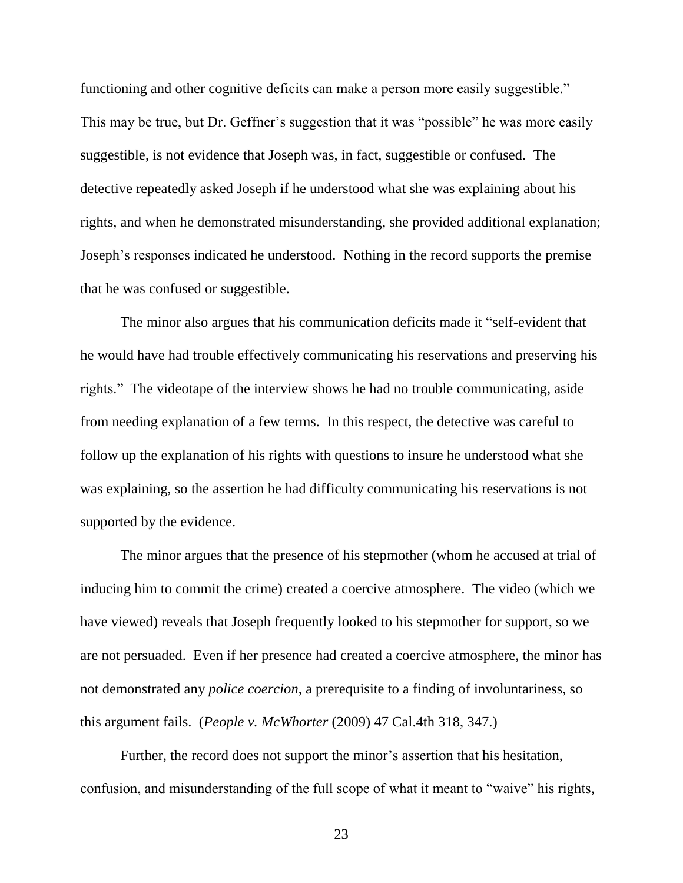functioning and other cognitive deficits can make a person more easily suggestible." This may be true, but Dr. Geffner's suggestion that it was "possible" he was more easily suggestible, is not evidence that Joseph was, in fact, suggestible or confused. The detective repeatedly asked Joseph if he understood what she was explaining about his rights, and when he demonstrated misunderstanding, she provided additional explanation; Joseph's responses indicated he understood. Nothing in the record supports the premise that he was confused or suggestible.

The minor also argues that his communication deficits made it "self-evident that he would have had trouble effectively communicating his reservations and preserving his rights." The videotape of the interview shows he had no trouble communicating, aside from needing explanation of a few terms. In this respect, the detective was careful to follow up the explanation of his rights with questions to insure he understood what she was explaining, so the assertion he had difficulty communicating his reservations is not supported by the evidence.

The minor argues that the presence of his stepmother (whom he accused at trial of inducing him to commit the crime) created a coercive atmosphere. The video (which we have viewed) reveals that Joseph frequently looked to his stepmother for support, so we are not persuaded. Even if her presence had created a coercive atmosphere, the minor has not demonstrated any *police coercion*, a prerequisite to a finding of involuntariness, so this argument fails. (*People v. McWhorter* (2009) 47 Cal.4th 318, 347.)

Further, the record does not support the minor's assertion that his hesitation, confusion, and misunderstanding of the full scope of what it meant to "waive" his rights,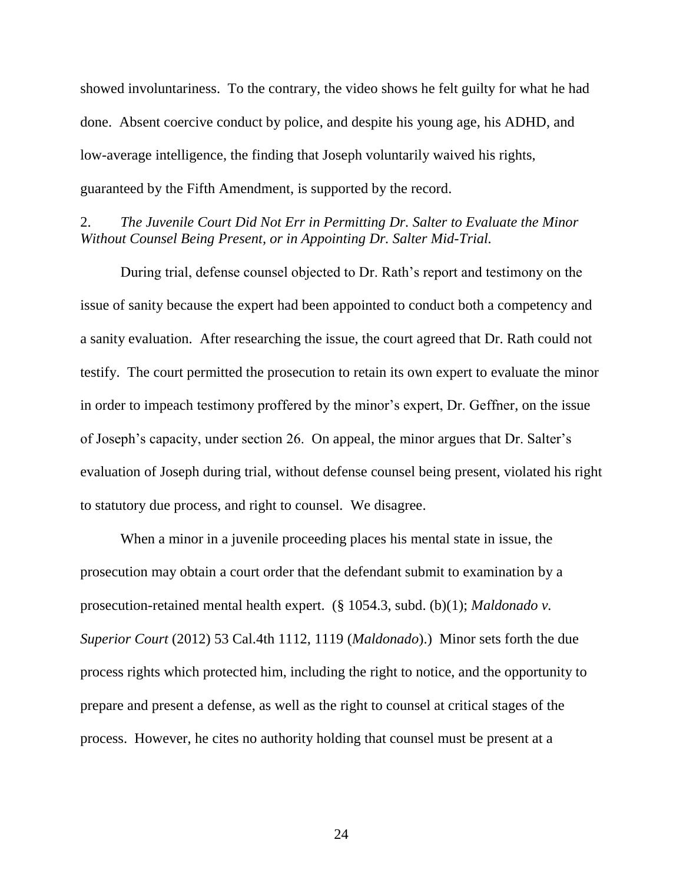showed involuntariness. To the contrary, the video shows he felt guilty for what he had done. Absent coercive conduct by police, and despite his young age, his ADHD, and low-average intelligence, the finding that Joseph voluntarily waived his rights, guaranteed by the Fifth Amendment, is supported by the record.

2. *The Juvenile Court Did Not Err in Permitting Dr. Salter to Evaluate the Minor Without Counsel Being Present, or in Appointing Dr. Salter Mid-Trial.*

During trial, defense counsel objected to Dr. Rath's report and testimony on the issue of sanity because the expert had been appointed to conduct both a competency and a sanity evaluation. After researching the issue, the court agreed that Dr. Rath could not testify. The court permitted the prosecution to retain its own expert to evaluate the minor in order to impeach testimony proffered by the minor's expert, Dr. Geffner, on the issue of Joseph's capacity, under section 26. On appeal, the minor argues that Dr. Salter's evaluation of Joseph during trial, without defense counsel being present, violated his right to statutory due process, and right to counsel. We disagree.

When a minor in a juvenile proceeding places his mental state in issue, the prosecution may obtain a court order that the defendant submit to examination by a prosecution-retained mental health expert. (§ 1054.3, subd. (b)(1); *Maldonado v. Superior Court* (2012) 53 Cal.4th 1112, 1119 (*Maldonado*).) Minor sets forth the due process rights which protected him, including the right to notice, and the opportunity to prepare and present a defense, as well as the right to counsel at critical stages of the process. However, he cites no authority holding that counsel must be present at a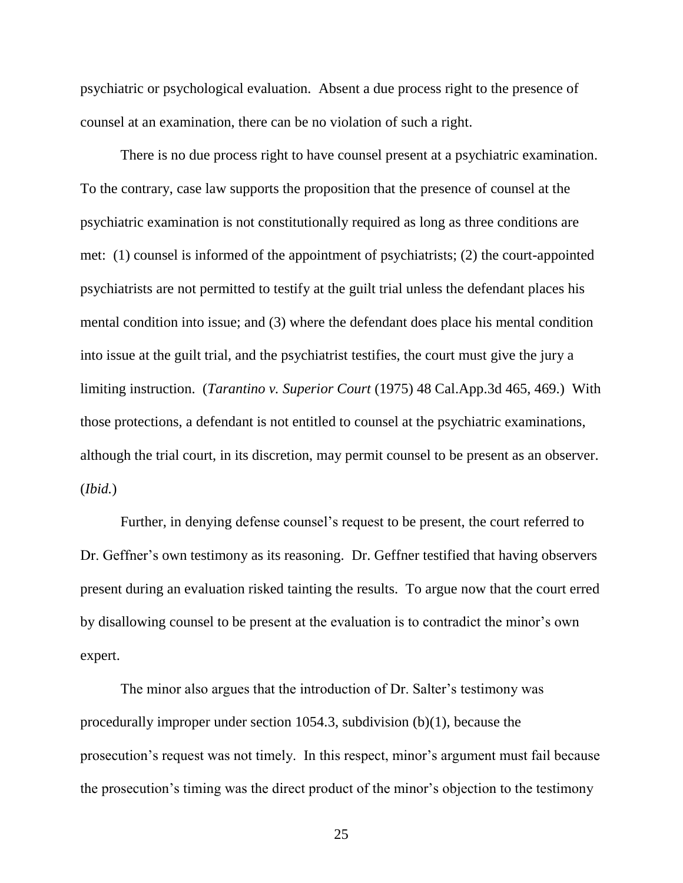psychiatric or psychological evaluation. Absent a due process right to the presence of counsel at an examination, there can be no violation of such a right.

There is no due process right to have counsel present at a psychiatric examination. To the contrary, case law supports the proposition that the presence of counsel at the psychiatric examination is not constitutionally required as long as three conditions are met: (1) counsel is informed of the appointment of psychiatrists; (2) the court-appointed psychiatrists are not permitted to testify at the guilt trial unless the defendant places his mental condition into issue; and (3) where the defendant does place his mental condition into issue at the guilt trial, and the psychiatrist testifies, the court must give the jury a limiting instruction. (*Tarantino v. Superior Court* (1975) 48 Cal.App.3d 465, 469.) With those protections, a defendant is not entitled to counsel at the psychiatric examinations, although the trial court, in its discretion, may permit counsel to be present as an observer. (*Ibid.*)

Further, in denying defense counsel's request to be present, the court referred to Dr. Geffner's own testimony as its reasoning. Dr. Geffner testified that having observers present during an evaluation risked tainting the results. To argue now that the court erred by disallowing counsel to be present at the evaluation is to contradict the minor's own expert.

The minor also argues that the introduction of Dr. Salter's testimony was procedurally improper under section 1054.3, subdivision (b)(1), because the prosecution's request was not timely. In this respect, minor's argument must fail because the prosecution's timing was the direct product of the minor's objection to the testimony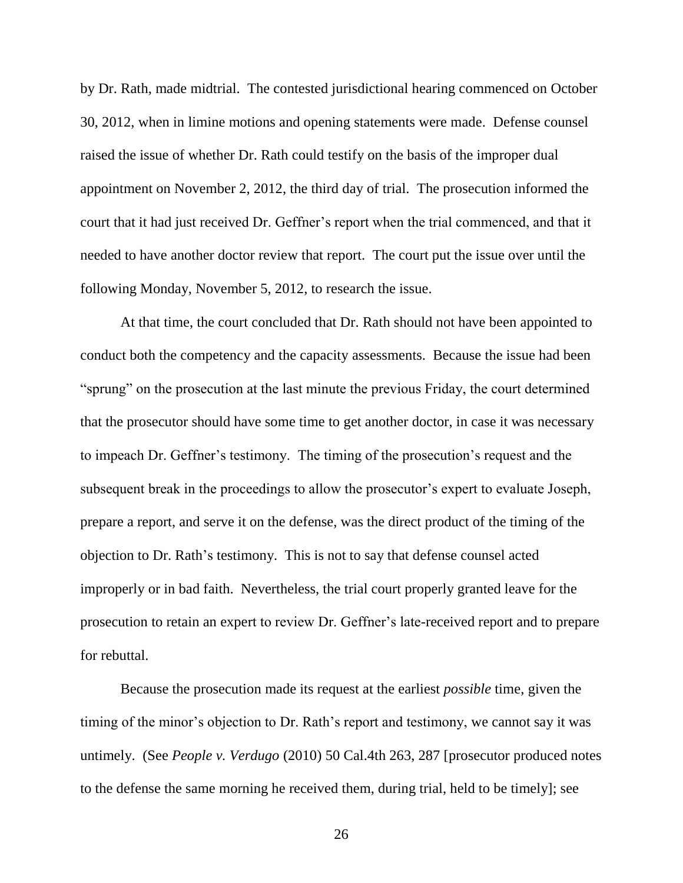by Dr. Rath, made midtrial. The contested jurisdictional hearing commenced on October 30, 2012, when in limine motions and opening statements were made. Defense counsel raised the issue of whether Dr. Rath could testify on the basis of the improper dual appointment on November 2, 2012, the third day of trial. The prosecution informed the court that it had just received Dr. Geffner's report when the trial commenced, and that it needed to have another doctor review that report. The court put the issue over until the following Monday, November 5, 2012, to research the issue.

At that time, the court concluded that Dr. Rath should not have been appointed to conduct both the competency and the capacity assessments. Because the issue had been "sprung" on the prosecution at the last minute the previous Friday, the court determined that the prosecutor should have some time to get another doctor, in case it was necessary to impeach Dr. Geffner's testimony. The timing of the prosecution's request and the subsequent break in the proceedings to allow the prosecutor's expert to evaluate Joseph, prepare a report, and serve it on the defense, was the direct product of the timing of the objection to Dr. Rath's testimony. This is not to say that defense counsel acted improperly or in bad faith. Nevertheless, the trial court properly granted leave for the prosecution to retain an expert to review Dr. Geffner's late-received report and to prepare for rebuttal.

Because the prosecution made its request at the earliest *possible* time, given the timing of the minor's objection to Dr. Rath's report and testimony, we cannot say it was untimely. (See *People v. Verdugo* (2010) 50 Cal.4th 263, 287 [prosecutor produced notes to the defense the same morning he received them, during trial, held to be timely]; see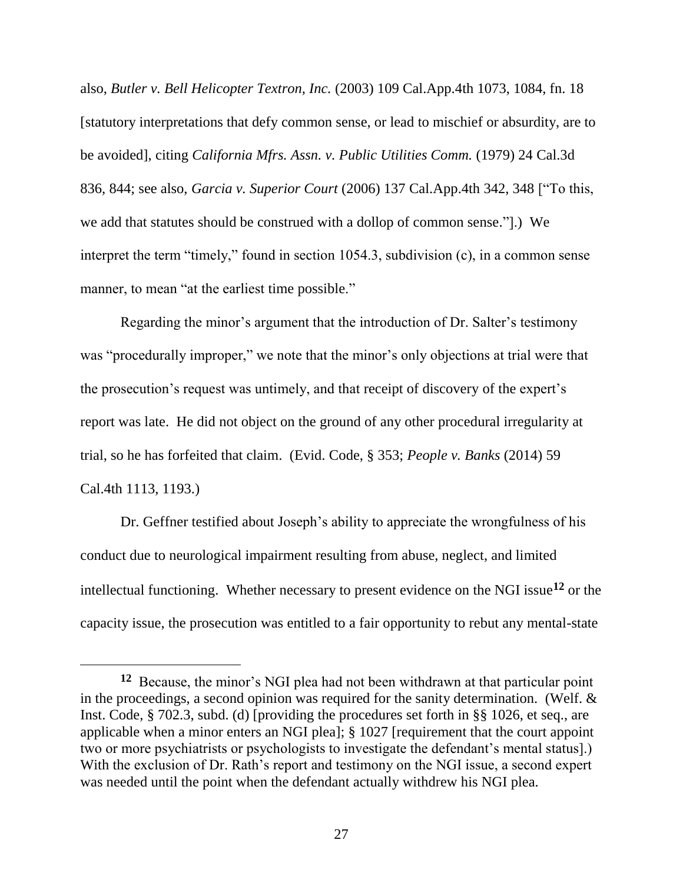also, *Butler v. Bell Helicopter Textron, Inc.* (2003) 109 Cal.App.4th 1073, 1084, fn. 18 [statutory interpretations that defy common sense, or lead to mischief or absurdity, are to be avoided], citing *California Mfrs. Assn. v. Public Utilities Comm.* (1979) 24 Cal.3d 836, 844; see also, *Garcia v. Superior Court* (2006) 137 Cal.App.4th 342, 348 ["To this, we add that statutes should be construed with a dollop of common sense."].) We interpret the term "timely," found in section 1054.3, subdivision (c), in a common sense manner, to mean "at the earliest time possible."

Regarding the minor's argument that the introduction of Dr. Salter's testimony was "procedurally improper," we note that the minor's only objections at trial were that the prosecution's request was untimely, and that receipt of discovery of the expert's report was late. He did not object on the ground of any other procedural irregularity at trial, so he has forfeited that claim. (Evid. Code, § 353; *People v. Banks* (2014) 59 Cal.4th 1113, 1193.)

Dr. Geffner testified about Joseph's ability to appreciate the wrongfulness of his conduct due to neurological impairment resulting from abuse, neglect, and limited intellectual functioning. Whether necessary to present evidence on the NGI issue**<sup>12</sup>** or the capacity issue, the prosecution was entitled to a fair opportunity to rebut any mental-state

**<sup>12</sup>** Because, the minor's NGI plea had not been withdrawn at that particular point in the proceedings, a second opinion was required for the sanity determination. (Welf. & Inst. Code, § 702.3, subd. (d) [providing the procedures set forth in §§ 1026, et seq., are applicable when a minor enters an NGI plea]; § 1027 [requirement that the court appoint two or more psychiatrists or psychologists to investigate the defendant's mental status].) With the exclusion of Dr. Rath's report and testimony on the NGI issue, a second expert was needed until the point when the defendant actually withdrew his NGI plea.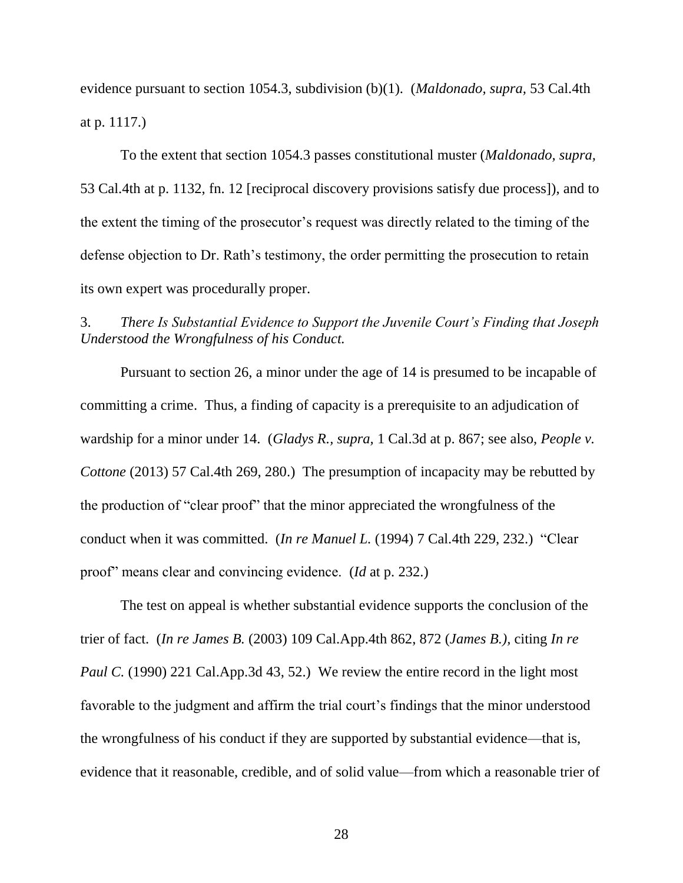evidence pursuant to section 1054.3, subdivision (b)(1). (*Maldonado, supra,* 53 Cal.4th at p. 1117.)

To the extent that section 1054.3 passes constitutional muster (*Maldonado, supra,* 53 Cal.4th at p. 1132, fn. 12 [reciprocal discovery provisions satisfy due process]), and to the extent the timing of the prosecutor's request was directly related to the timing of the defense objection to Dr. Rath's testimony, the order permitting the prosecution to retain its own expert was procedurally proper.

## 3. *There Is Substantial Evidence to Support the Juvenile Court's Finding that Joseph Understood the Wrongfulness of his Conduct.*

Pursuant to section 26, a minor under the age of 14 is presumed to be incapable of committing a crime. Thus, a finding of capacity is a prerequisite to an adjudication of wardship for a minor under 14. (*Gladys R., supra,* 1 Cal.3d at p. 867; see also, *People v. Cottone* (2013) 57 Cal.4th 269, 280.) The presumption of incapacity may be rebutted by the production of "clear proof" that the minor appreciated the wrongfulness of the conduct when it was committed. (*In re Manuel L.* (1994) 7 Cal.4th 229, 232.) "Clear proof" means clear and convincing evidence. (*Id* at p. 232.)

The test on appeal is whether substantial evidence supports the conclusion of the trier of fact. (*In re James B.* (2003) 109 Cal.App.4th 862, 872 (*James B.),* citing *In re Paul C.* (1990) 221 Cal.App.3d 43, 52.) We review the entire record in the light most favorable to the judgment and affirm the trial court's findings that the minor understood the wrongfulness of his conduct if they are supported by substantial evidence—that is, evidence that it reasonable, credible, and of solid value—from which a reasonable trier of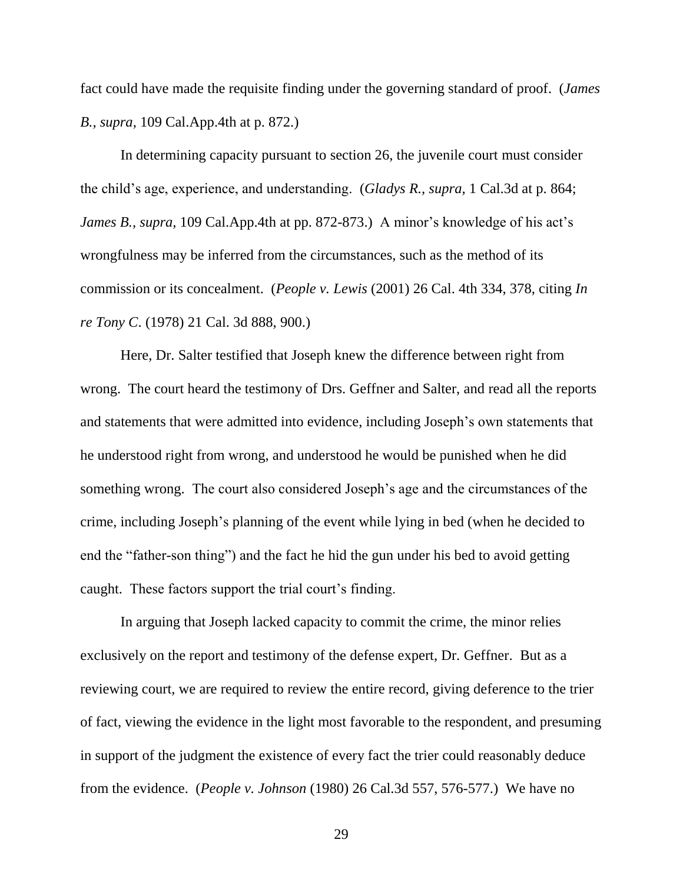fact could have made the requisite finding under the governing standard of proof. (*James B., supra,* 109 Cal.App.4th at p. 872.)

In determining capacity pursuant to section 26, the juvenile court must consider the child's age, experience, and understanding. (*Gladys R., supra,* 1 Cal.3d at p. 864; *James B., supra,* 109 Cal.App.4th at pp. 872-873.) A minor's knowledge of his act's wrongfulness may be inferred from the circumstances, such as the method of its commission or its concealment. (*People v. Lewis* (2001) 26 Cal. 4th 334, 378, citing *In re Tony C*. (1978) 21 Cal. 3d 888, 900.)

Here, Dr. Salter testified that Joseph knew the difference between right from wrong. The court heard the testimony of Drs. Geffner and Salter, and read all the reports and statements that were admitted into evidence, including Joseph's own statements that he understood right from wrong, and understood he would be punished when he did something wrong. The court also considered Joseph's age and the circumstances of the crime, including Joseph's planning of the event while lying in bed (when he decided to end the "father-son thing") and the fact he hid the gun under his bed to avoid getting caught. These factors support the trial court's finding.

In arguing that Joseph lacked capacity to commit the crime, the minor relies exclusively on the report and testimony of the defense expert, Dr. Geffner. But as a reviewing court, we are required to review the entire record, giving deference to the trier of fact, viewing the evidence in the light most favorable to the respondent, and presuming in support of the judgment the existence of every fact the trier could reasonably deduce from the evidence. (*People v. Johnson* (1980) 26 Cal.3d 557, 576-577.) We have no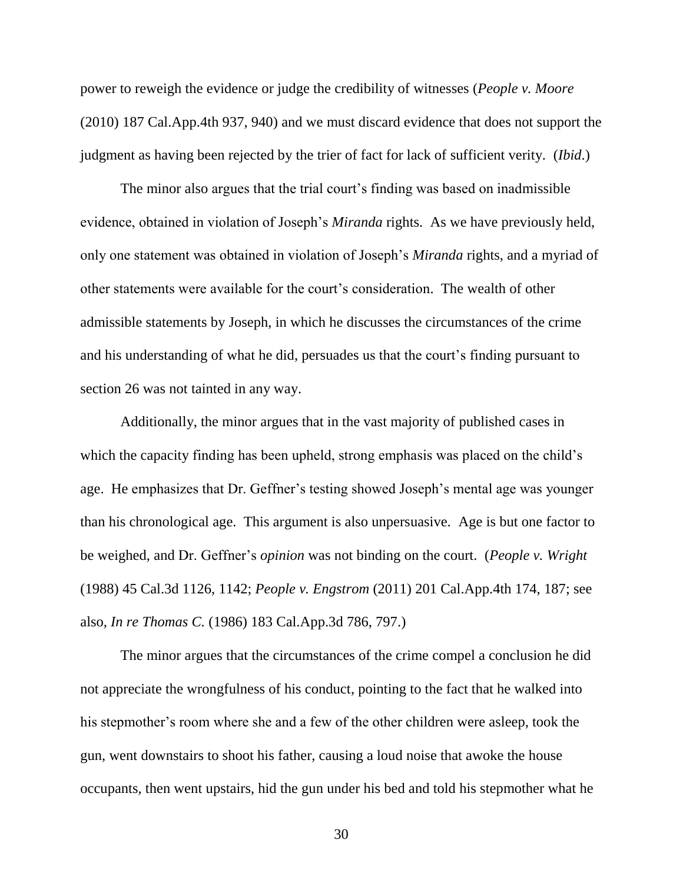power to reweigh the evidence or judge the credibility of witnesses (*People v. Moore*  (2010) 187 Cal.App.4th 937, 940) and we must discard evidence that does not support the judgment as having been rejected by the trier of fact for lack of sufficient verity. (*Ibid*.)

The minor also argues that the trial court's finding was based on inadmissible evidence, obtained in violation of Joseph's *Miranda* rights. As we have previously held, only one statement was obtained in violation of Joseph's *Miranda* rights, and a myriad of other statements were available for the court's consideration. The wealth of other admissible statements by Joseph, in which he discusses the circumstances of the crime and his understanding of what he did, persuades us that the court's finding pursuant to section 26 was not tainted in any way.

Additionally, the minor argues that in the vast majority of published cases in which the capacity finding has been upheld, strong emphasis was placed on the child's age. He emphasizes that Dr. Geffner's testing showed Joseph's mental age was younger than his chronological age. This argument is also unpersuasive. Age is but one factor to be weighed, and Dr. Geffner's *opinion* was not binding on the court. (*People v. Wright*  (1988) 45 Cal.3d 1126, 1142; *People v. Engstrom* (2011) 201 Cal.App.4th 174, 187; see also, *In re Thomas C.* (1986) 183 Cal.App.3d 786, 797.)

The minor argues that the circumstances of the crime compel a conclusion he did not appreciate the wrongfulness of his conduct, pointing to the fact that he walked into his stepmother's room where she and a few of the other children were asleep, took the gun, went downstairs to shoot his father, causing a loud noise that awoke the house occupants, then went upstairs, hid the gun under his bed and told his stepmother what he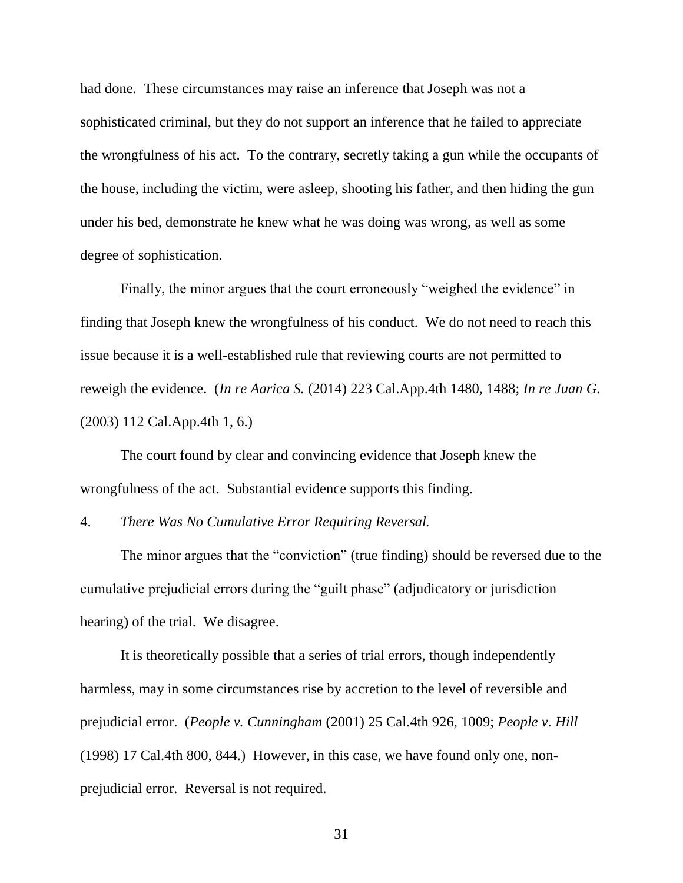had done. These circumstances may raise an inference that Joseph was not a sophisticated criminal, but they do not support an inference that he failed to appreciate the wrongfulness of his act. To the contrary, secretly taking a gun while the occupants of the house, including the victim, were asleep, shooting his father, and then hiding the gun under his bed, demonstrate he knew what he was doing was wrong, as well as some degree of sophistication.

Finally, the minor argues that the court erroneously "weighed the evidence" in finding that Joseph knew the wrongfulness of his conduct. We do not need to reach this issue because it is a well-established rule that reviewing courts are not permitted to reweigh the evidence. (*In re Aarica S.* (2014) 223 Cal.App.4th 1480, 1488; *In re Juan G.*  (2003) 112 Cal.App.4th 1, 6.)

The court found by clear and convincing evidence that Joseph knew the wrongfulness of the act. Substantial evidence supports this finding.

4. *There Was No Cumulative Error Requiring Reversal.*

The minor argues that the "conviction" (true finding) should be reversed due to the cumulative prejudicial errors during the "guilt phase" (adjudicatory or jurisdiction hearing) of the trial. We disagree.

It is theoretically possible that a series of trial errors, though independently harmless, may in some circumstances rise by accretion to the level of reversible and prejudicial error. (*People v. Cunningham* (2001) 25 Cal.4th 926, 1009; *People v. Hill* (1998) 17 Cal.4th 800, 844.) However, in this case, we have found only one, nonprejudicial error. Reversal is not required.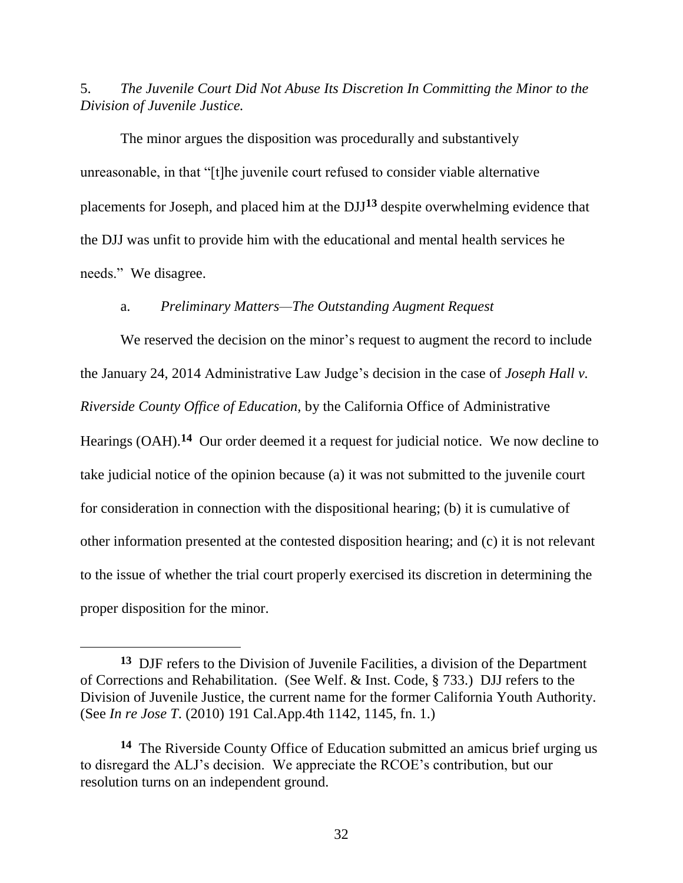5. *The Juvenile Court Did Not Abuse Its Discretion In Committing the Minor to the Division of Juvenile Justice.*

The minor argues the disposition was procedurally and substantively unreasonable, in that "[t]he juvenile court refused to consider viable alternative placements for Joseph, and placed him at the DJJ**<sup>13</sup>** despite overwhelming evidence that the DJJ was unfit to provide him with the educational and mental health services he needs." We disagree.

### a. *Preliminary Matters—The Outstanding Augment Request*

We reserved the decision on the minor's request to augment the record to include the January 24, 2014 Administrative Law Judge's decision in the case of *Joseph Hall v. Riverside County Office of Education,* by the California Office of Administrative Hearings (OAH).<sup>14</sup> Our order deemed it a request for judicial notice. We now decline to take judicial notice of the opinion because (a) it was not submitted to the juvenile court for consideration in connection with the dispositional hearing; (b) it is cumulative of other information presented at the contested disposition hearing; and (c) it is not relevant to the issue of whether the trial court properly exercised its discretion in determining the proper disposition for the minor.

**<sup>13</sup>** DJF refers to the Division of Juvenile Facilities, a division of the Department of Corrections and Rehabilitation. (See Welf. & Inst. Code, § 733.) DJJ refers to the Division of Juvenile Justice, the current name for the former California Youth Authority. (See *In re Jose T*. (2010) 191 Cal.App.4th 1142, 1145, fn. 1.)

**<sup>14</sup>** The Riverside County Office of Education submitted an amicus brief urging us to disregard the ALJ's decision. We appreciate the RCOE's contribution, but our resolution turns on an independent ground.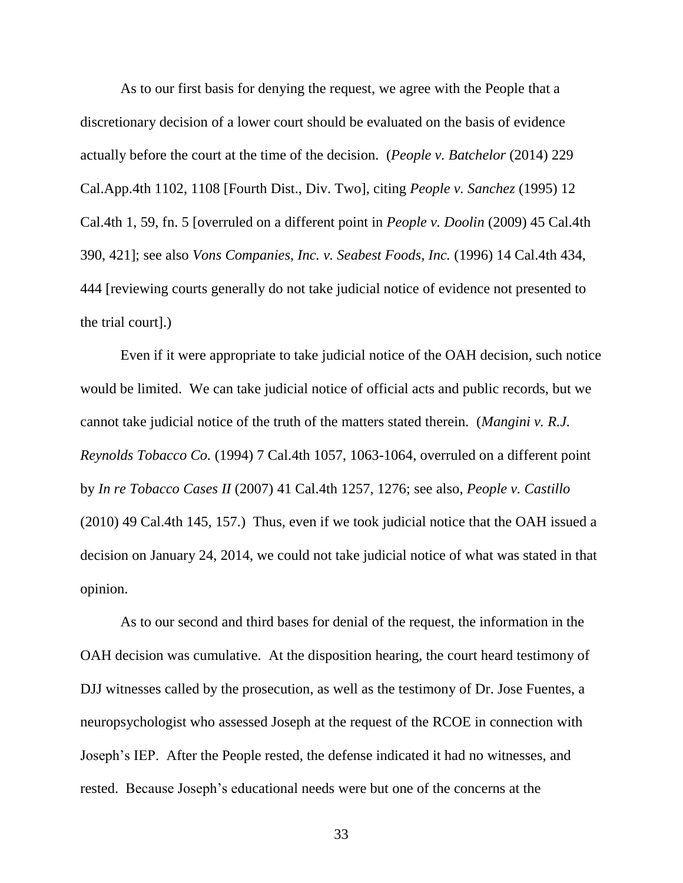As to our first basis for denying the request, we agree with the People that a discretionary decision of a lower court should be evaluated on the basis of evidence actually before the court at the time of the decision. (*People v. Batchelor* (2014) 229 Cal.App.4th 1102, 1108 [Fourth Dist., Div. Two], citing *People v. Sanchez* (1995) 12 Cal.4th 1, 59, fn. 5 [overruled on a different point in *People v. Doolin* (2009) 45 Cal.4th 390, 421]; see also *Vons Companies, Inc. v. Seabest Foods, Inc.* (1996) 14 Cal.4th 434, 444 [reviewing courts generally do not take judicial notice of evidence not presented to the trial court].)

Even if it were appropriate to take judicial notice of the OAH decision, such notice would be limited. We can take judicial notice of official acts and public records, but we cannot take judicial notice of the truth of the matters stated therein. (*Mangini v. R.J. Reynolds Tobacco Co.* (1994) 7 Cal.4th 1057, 1063-1064, overruled on a different point by *In re Tobacco Cases II* (2007) 41 Cal.4th 1257, 1276; see also, *People v. Castillo*  (2010) 49 Cal.4th 145, 157.) Thus, even if we took judicial notice that the OAH issued a decision on January 24, 2014, we could not take judicial notice of what was stated in that opinion.

As to our second and third bases for denial of the request, the information in the OAH decision was cumulative. At the disposition hearing, the court heard testimony of DJJ witnesses called by the prosecution, as well as the testimony of Dr. Jose Fuentes, a neuropsychologist who assessed Joseph at the request of the RCOE in connection with Joseph's IEP. After the People rested, the defense indicated it had no witnesses, and rested. Because Joseph's educational needs were but one of the concerns at the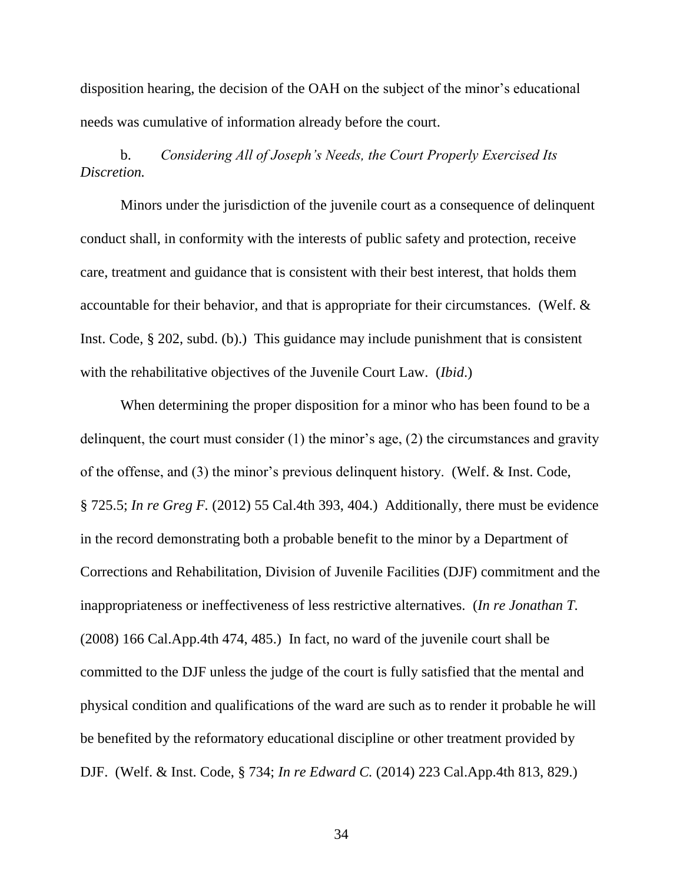disposition hearing, the decision of the OAH on the subject of the minor's educational needs was cumulative of information already before the court.

# b. *Considering All of Joseph's Needs, the Court Properly Exercised Its Discretion.*

Minors under the jurisdiction of the juvenile court as a consequence of delinquent conduct shall, in conformity with the interests of public safety and protection, receive care, treatment and guidance that is consistent with their best interest, that holds them accountable for their behavior, and that is appropriate for their circumstances. (Welf. & Inst. Code, § 202, subd. (b).) This guidance may include punishment that is consistent with the rehabilitative objectives of the Juvenile Court Law. (*Ibid*.)

When determining the proper disposition for a minor who has been found to be a delinquent, the court must consider (1) the minor's age, (2) the circumstances and gravity of the offense, and (3) the minor's previous delinquent history. (Welf. & Inst. Code, § 725.5; *In re Greg F.* (2012) 55 Cal.4th 393, 404.) Additionally, there must be evidence in the record demonstrating both a probable benefit to the minor by a Department of Corrections and Rehabilitation, Division of Juvenile Facilities (DJF) commitment and the inappropriateness or ineffectiveness of less restrictive alternatives. (*In re Jonathan T.*  (2008) 166 Cal.App.4th 474, 485.) In fact, no ward of the juvenile court shall be committed to the DJF unless the judge of the court is fully satisfied that the mental and physical condition and qualifications of the ward are such as to render it probable he will be benefited by the reformatory educational discipline or other treatment provided by DJF. (Welf. & Inst. Code, § 734; *In re Edward C.* (2014) 223 Cal.App.4th 813, 829.)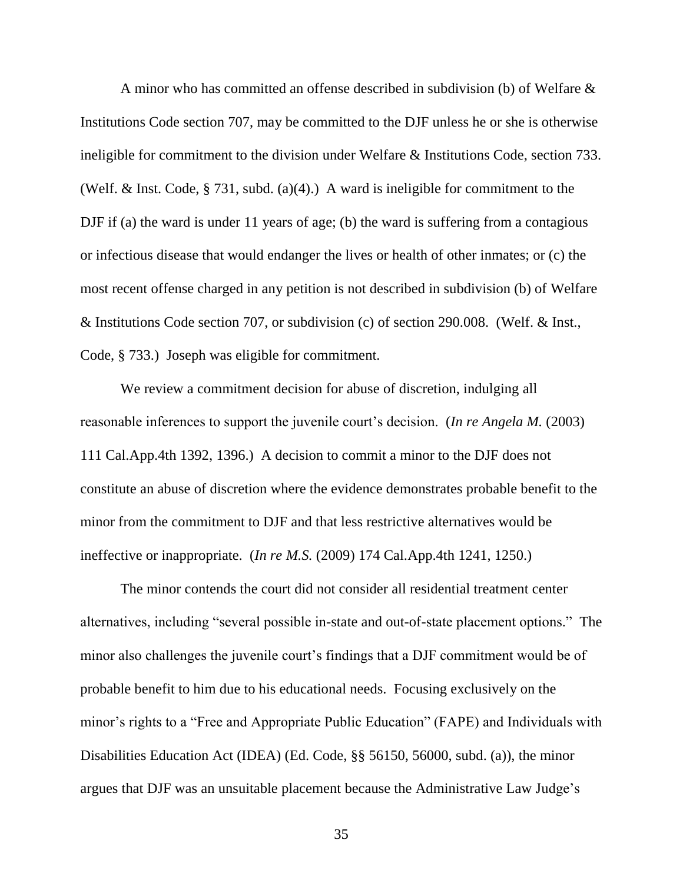A minor who has committed an offense described in subdivision (b) of Welfare & Institutions Code section 707, may be committed to the DJF unless he or she is otherwise ineligible for commitment to the division under Welfare & Institutions Code, section 733. (Welf. & Inst. Code, § 731, subd. (a)(4).) A ward is ineligible for commitment to the DJF if (a) the ward is under 11 years of age; (b) the ward is suffering from a contagious or infectious disease that would endanger the lives or health of other inmates; or (c) the most recent offense charged in any petition is not described in subdivision (b) of Welfare & Institutions Code section 707, or subdivision (c) of section 290.008. (Welf. & Inst., Code, § 733.) Joseph was eligible for commitment.

We review a commitment decision for abuse of discretion, indulging all reasonable inferences to support the juvenile court's decision. (*In re Angela M.* (2003) 111 Cal.App.4th 1392, 1396.) A decision to commit a minor to the DJF does not constitute an abuse of discretion where the evidence demonstrates probable benefit to the minor from the commitment to DJF and that less restrictive alternatives would be ineffective or inappropriate. (*In re M.S.* (2009) 174 Cal.App.4th 1241, 1250.)

The minor contends the court did not consider all residential treatment center alternatives, including "several possible in-state and out-of-state placement options." The minor also challenges the juvenile court's findings that a DJF commitment would be of probable benefit to him due to his educational needs. Focusing exclusively on the minor's rights to a "Free and Appropriate Public Education" (FAPE) and Individuals with Disabilities Education Act (IDEA) (Ed. Code, §§ 56150, 56000, subd. (a)), the minor argues that DJF was an unsuitable placement because the Administrative Law Judge's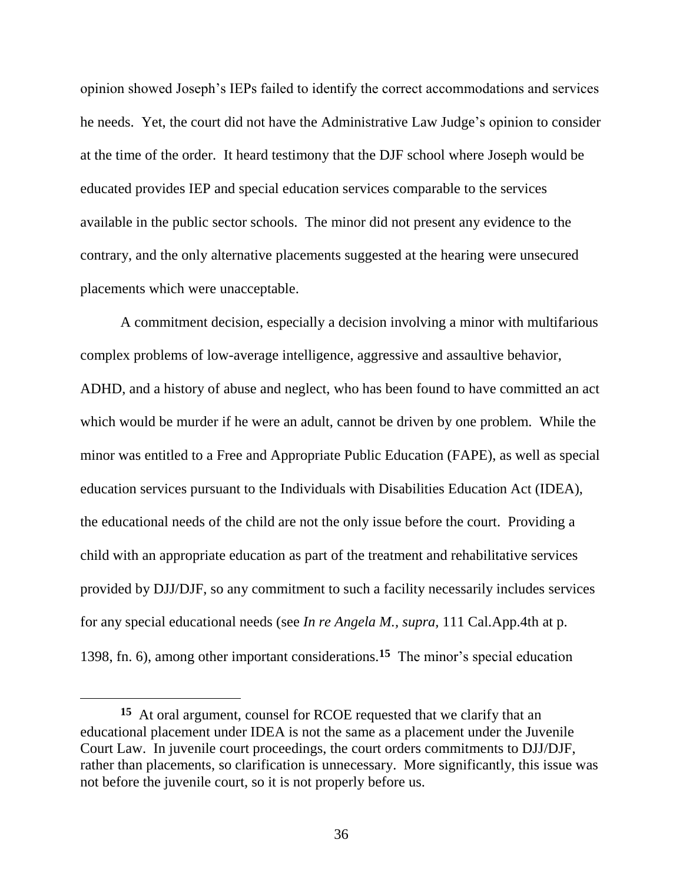opinion showed Joseph's IEPs failed to identify the correct accommodations and services he needs. Yet, the court did not have the Administrative Law Judge's opinion to consider at the time of the order. It heard testimony that the DJF school where Joseph would be educated provides IEP and special education services comparable to the services available in the public sector schools. The minor did not present any evidence to the contrary, and the only alternative placements suggested at the hearing were unsecured placements which were unacceptable.

A commitment decision, especially a decision involving a minor with multifarious complex problems of low-average intelligence, aggressive and assaultive behavior, ADHD, and a history of abuse and neglect, who has been found to have committed an act which would be murder if he were an adult, cannot be driven by one problem. While the minor was entitled to a Free and Appropriate Public Education (FAPE), as well as special education services pursuant to the Individuals with Disabilities Education Act (IDEA), the educational needs of the child are not the only issue before the court. Providing a child with an appropriate education as part of the treatment and rehabilitative services provided by DJJ/DJF, so any commitment to such a facility necessarily includes services for any special educational needs (see *In re Angela M., supra,* 111 Cal.App.4th at p. 1398, fn. 6), among other important considerations.**<sup>15</sup>** The minor's special education

**<sup>15</sup>** At oral argument, counsel for RCOE requested that we clarify that an educational placement under IDEA is not the same as a placement under the Juvenile Court Law. In juvenile court proceedings, the court orders commitments to DJJ/DJF, rather than placements, so clarification is unnecessary. More significantly, this issue was not before the juvenile court, so it is not properly before us.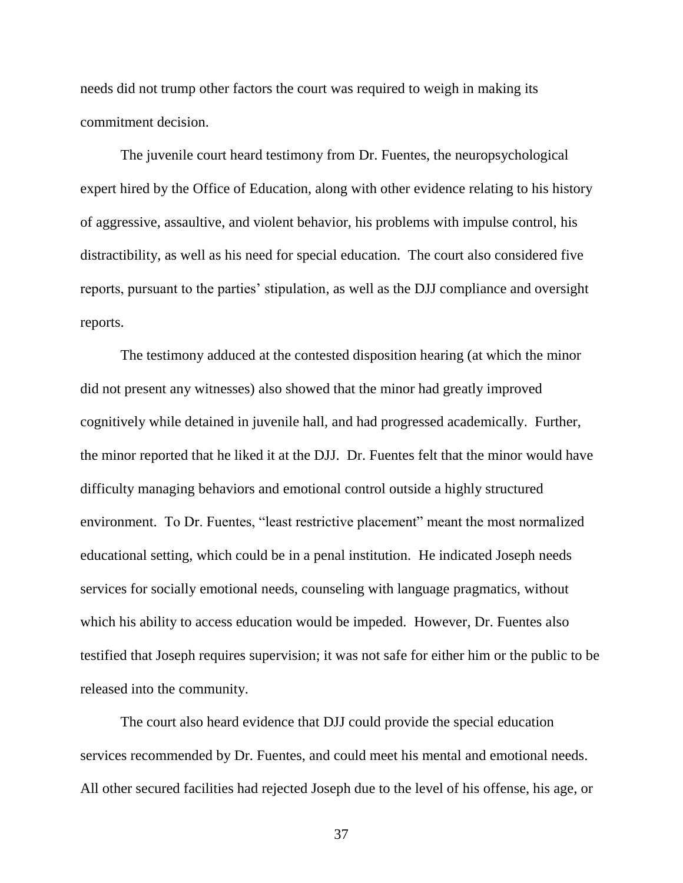needs did not trump other factors the court was required to weigh in making its commitment decision.

The juvenile court heard testimony from Dr. Fuentes, the neuropsychological expert hired by the Office of Education, along with other evidence relating to his history of aggressive, assaultive, and violent behavior, his problems with impulse control, his distractibility, as well as his need for special education. The court also considered five reports, pursuant to the parties' stipulation, as well as the DJJ compliance and oversight reports.

The testimony adduced at the contested disposition hearing (at which the minor did not present any witnesses) also showed that the minor had greatly improved cognitively while detained in juvenile hall, and had progressed academically. Further, the minor reported that he liked it at the DJJ. Dr. Fuentes felt that the minor would have difficulty managing behaviors and emotional control outside a highly structured environment. To Dr. Fuentes, "least restrictive placement" meant the most normalized educational setting, which could be in a penal institution. He indicated Joseph needs services for socially emotional needs, counseling with language pragmatics, without which his ability to access education would be impeded. However, Dr. Fuentes also testified that Joseph requires supervision; it was not safe for either him or the public to be released into the community.

The court also heard evidence that DJJ could provide the special education services recommended by Dr. Fuentes, and could meet his mental and emotional needs. All other secured facilities had rejected Joseph due to the level of his offense, his age, or